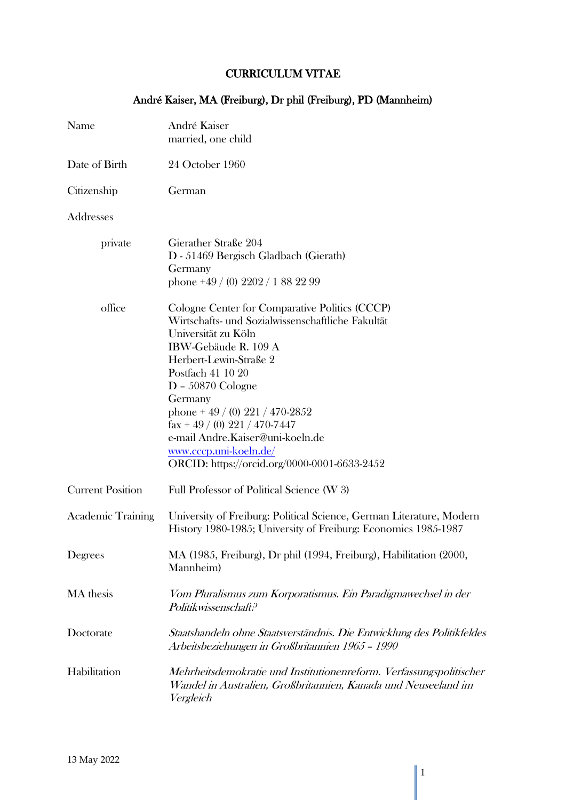# CURRICULUM VITAE

|  |  |  | André Kaiser, MA (Freiburg), Dr phil (Freiburg), PD (Mannheim) |
|--|--|--|----------------------------------------------------------------|
|--|--|--|----------------------------------------------------------------|

| Name                     | André Kaiser<br>married, one child                                                                                                                                                                                                                                                                                                                                                                                                   |
|--------------------------|--------------------------------------------------------------------------------------------------------------------------------------------------------------------------------------------------------------------------------------------------------------------------------------------------------------------------------------------------------------------------------------------------------------------------------------|
| Date of Birth            | 24 October 1960                                                                                                                                                                                                                                                                                                                                                                                                                      |
| Citizenship              | German                                                                                                                                                                                                                                                                                                                                                                                                                               |
| Addresses                |                                                                                                                                                                                                                                                                                                                                                                                                                                      |
| private                  | Gierather Straße 204<br>D - 51469 Bergisch Gladbach (Gierath)<br>Germany<br>phone $+49/(0)$ 2202/188 22 99                                                                                                                                                                                                                                                                                                                           |
| office                   | Cologne Center for Comparative Politics (CCCP)<br>Wirtschafts- und Sozialwissenschaftliche Fakultät<br>Universität zu Köln<br>IBW-Gebäude R. 109 A<br>Herbert-Lewin-Straße 2<br>Postfach 41 10 20<br>$D - 50870$ Cologne<br>Germany<br>phone + $49 / (0) 221 / 470 - 2852$<br>$\text{fax} + 49 / (0) 221 / 470 - 7447$<br>e-mail Andre.Kaiser@uni-koeln.de<br>www.cccp.uni-koeln.de/<br>ORCID: https://orcid.org/0000-0001-6633-2452 |
| <b>Current Position</b>  | Full Professor of Political Science (W 3)                                                                                                                                                                                                                                                                                                                                                                                            |
| <b>Academic Training</b> | University of Freiburg: Political Science, German Literature, Modern<br>History 1980-1985; University of Freiburg: Economics 1985-1987                                                                                                                                                                                                                                                                                               |
| Degrees                  | MA (1985, Freiburg), Dr phil (1994, Freiburg), Habilitation (2000,<br>Mannheim)                                                                                                                                                                                                                                                                                                                                                      |
| MA thesis                | Vom Pluralismus zum Korporatismus. Ein Paradigmawechsel in der<br>Politikwissenschaft?                                                                                                                                                                                                                                                                                                                                               |
| Doctorate                | Staatshandeln ohne Staatsverständnis. Die Entwicklung des Politikfeldes<br>Arbeitsbeziehungen in Großbritannien 1965 - 1990                                                                                                                                                                                                                                                                                                          |
| Habilitation             | Mehrheitsdemokratie und Institutionenreform. Verfassungspolitischer<br>Wandel in Australien, Großbritannien, Kanada und Neuseeland im<br>Vergleich                                                                                                                                                                                                                                                                                   |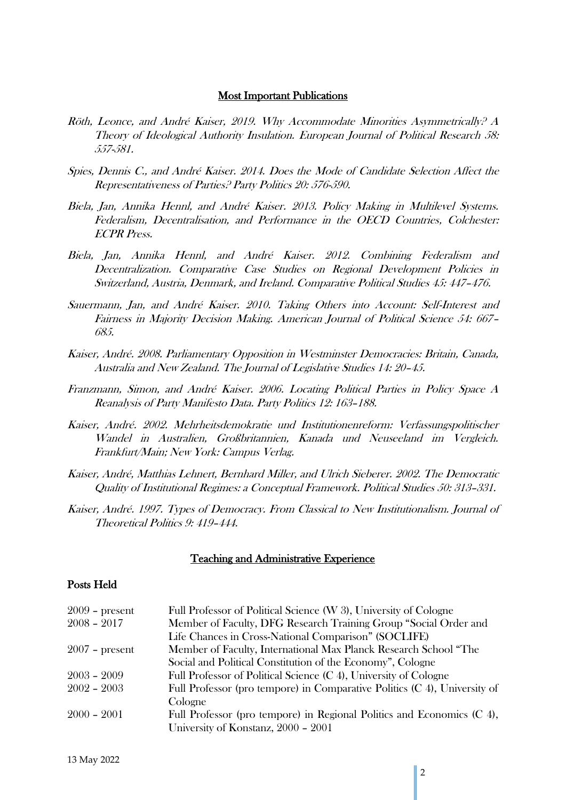#### Most Important Publications

- Röth, Leonce, and André Kaiser, 2019. Why Accommodate Minorities Asymmetrically? A Theory of Ideological Authority Insulation. European Journal of Political Research 58: 557-581.
- Spies, Dennis C., and André Kaiser. 2014. Does the Mode of Candidate Selection Affect the Representativeness of Parties? Party Politics 20: 576-590.
- Biela, Jan, Annika Hennl, and André Kaiser. 2013. Policy Making in Multilevel Systems. Federalism, Decentralisation, and Performance in the OECD Countries, Colchester: ECPR Press.
- Biela, Jan, Annika Hennl, and André Kaiser. 2012. Combining Federalism and Decentralization. Comparative Case Studies on Regional Development Policies in Switzerland, Austria, Denmark, and Ireland. Comparative Political Studies 45: 447–476.
- Sauermann, Jan, and André Kaiser. 2010. Taking Others into Account: Self-Interest and Fairness in Majority Decision Making. American Journal of Political Science 54: 667– 685.
- Kaiser, André. 2008. Parliamentary Opposition in Westminster Democracies: Britain, Canada, Australia and New Zealand. The Journal of Legislative Studies 14: 20–45.
- Franzmann, Simon, and André Kaiser. 2006. Locating Political Parties in Policy Space A Reanalysis of Party Manifesto Data. Party Politics 12: 163–188.
- Kaiser, André. 2002. Mehrheitsdemokratie und Institutionenreform: Verfassungspolitischer Wandel in Australien, Großbritannien, Kanada und Neuseeland im Vergleich. Frankfurt/Main; New York: Campus Verlag.
- Kaiser, André, Matthias Lehnert, Bernhard Miller, and Ulrich Sieberer. 2002. The Democratic Quality of Institutional Regimes: a Conceptual Framework. Political Studies 50: 313–331.
- Kaiser, André. 1997. Types of Democracy. From Classical to New Institutionalism. Journal of Theoretical Politics 9: 419–444.

#### Teaching and Administrative Experience

#### Posts Held

| $2009$ – present | Full Professor of Political Science (W 3), University of Cologne          |
|------------------|---------------------------------------------------------------------------|
| $2008 - 2017$    | Member of Faculty, DFG Research Training Group "Social Order and          |
|                  | Life Chances in Cross-National Comparison" (SOCLIFE)                      |
| $2007$ – present | Member of Faculty, International Max Planck Research School "The          |
|                  | Social and Political Constitution of the Economy", Cologne                |
| $2003 - 2009$    | Full Professor of Political Science (C 4), University of Cologne          |
| $2002 - 2003$    | Full Professor (pro tempore) in Comparative Politics (C 4), University of |
|                  | Cologne                                                                   |
| $2000 - 2001$    | Full Professor (pro tempore) in Regional Politics and Economics (C 4),    |
|                  | University of Konstanz, 2000 - 2001                                       |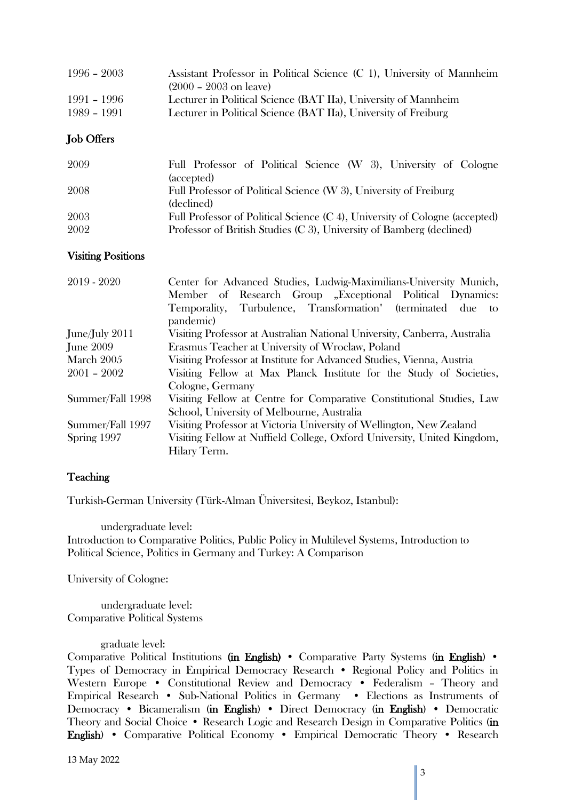| $1996 - 2003$ | Assistant Professor in Political Science (C 1), University of Mannheim |
|---------------|------------------------------------------------------------------------|
|               | $(2000 - 2003)$ on leave)                                              |
| $1991 - 1996$ | Lecturer in Political Science (BAT IIa), University of Mannheim        |
| $1989 - 1991$ | Lecturer in Political Science (BAT IIa), University of Freiburg        |

## Job Offers

| 2009 | Full Professor of Political Science (W 3), University of Cologne            |
|------|-----------------------------------------------------------------------------|
|      | (accepted)                                                                  |
| 2008 | Full Professor of Political Science (W 3), University of Freiburg           |
|      | (declined)                                                                  |
| 2003 | Full Professor of Political Science (C 4), University of Cologne (accepted) |
| 2002 | Professor of British Studies (C 3), University of Bamberg (declined)        |

## Visiting Positions

| $2019 - 2020$    | Center for Advanced Studies, Ludwig-Maximilians-University Munich,        |
|------------------|---------------------------------------------------------------------------|
|                  | Member of Research Group "Exceptional Political Dynamics:                 |
|                  | Temporality, Turbulence, Transformation" (terminated due to               |
|                  | pandemic)                                                                 |
| June/July 2011   | Visiting Professor at Australian National University, Canberra, Australia |
| <b>June 2009</b> | Erasmus Teacher at University of Wroclaw, Poland                          |
| March 2005       | Visiting Professor at Institute for Advanced Studies, Vienna, Austria     |
| $2001 - 2002$    | Visiting Fellow at Max Planck Institute for the Study of Societies,       |
|                  | Cologne, Germany                                                          |
| Summer/Fall 1998 | Visiting Fellow at Centre for Comparative Constitutional Studies, Law     |
|                  | School, University of Melbourne, Australia                                |
| Summer/Fall 1997 | Visiting Professor at Victoria University of Wellington, New Zealand      |
| Spring 1997      | Visiting Fellow at Nuffield College, Oxford University, United Kingdom,   |
|                  | Hilary Term.                                                              |

## **Teaching**

Turkish-German University (Türk-Alman Üniversitesi, Beykoz, Istanbul):

undergraduate level: Introduction to Comparative Politics, Public Policy in Multilevel Systems, Introduction to Political Science, Politics in Germany and Turkey: A Comparison

University of Cologne:

undergraduate level: Comparative Political Systems

graduate level:

Comparative Political Institutions (in English) • Comparative Party Systems (in English) • Types of Democracy in Empirical Democracy Research • Regional Policy and Politics in Western Europe • Constitutional Review and Democracy • Federalism – Theory and Empirical Research • Sub-National Politics in Germany • Elections as Instruments of Democracy • Bicameralism (in English) • Direct Democracy (in English) • Democratic Theory and Social Choice • Research Logic and Research Design in Comparative Politics (in English) • Comparative Political Economy • Empirical Democratic Theory • Research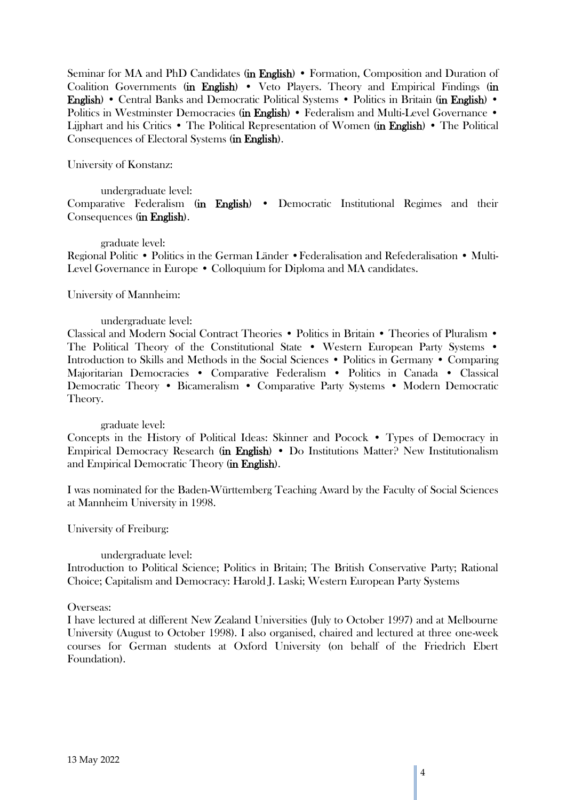Seminar for MA and PhD Candidates (in English) • Formation, Composition and Duration of Coalition Governments (in English) • Veto Players. Theory and Empirical Findings (in English) • Central Banks and Democratic Political Systems • Politics in Britain (in English) • Politics in Westminster Democracies (in English) • Federalism and Multi-Level Governance • Lijphart and his Critics • The Political Representation of Women (in English) • The Political Consequences of Electoral Systems (in English).

University of Konstanz:

undergraduate level: Comparative Federalism (in English) • Democratic Institutional Regimes and their Consequences (in English).

graduate level: Regional Politic • Politics in the German Länder •Federalisation and Refederalisation • Multi-Level Governance in Europe • Colloquium for Diploma and MA candidates.

### University of Mannheim:

### undergraduate level:

Classical and Modern Social Contract Theories • Politics in Britain • Theories of Pluralism • The Political Theory of the Constitutional State • Western European Party Systems • Introduction to Skills and Methods in the Social Sciences • Politics in Germany • Comparing Majoritarian Democracies • Comparative Federalism • Politics in Canada • Classical Democratic Theory • Bicameralism • Comparative Party Systems • Modern Democratic Theory.

#### graduate level:

Concepts in the History of Political Ideas: Skinner and Pocock • Types of Democracy in Empirical Democracy Research (in English) • Do Institutions Matter? New Institutionalism and Empirical Democratic Theory (in English).

I was nominated for the Baden-Württemberg Teaching Award by the Faculty of Social Sciences at Mannheim University in 1998.

University of Freiburg:

#### undergraduate level:

Introduction to Political Science; Politics in Britain; The British Conservative Party; Rational Choice; Capitalism and Democracy: Harold J. Laski; Western European Party Systems

#### Overseas:

I have lectured at different New Zealand Universities (July to October 1997) and at Melbourne University (August to October 1998). I also organised, chaired and lectured at three one-week courses for German students at Oxford University (on behalf of the Friedrich Ebert Foundation).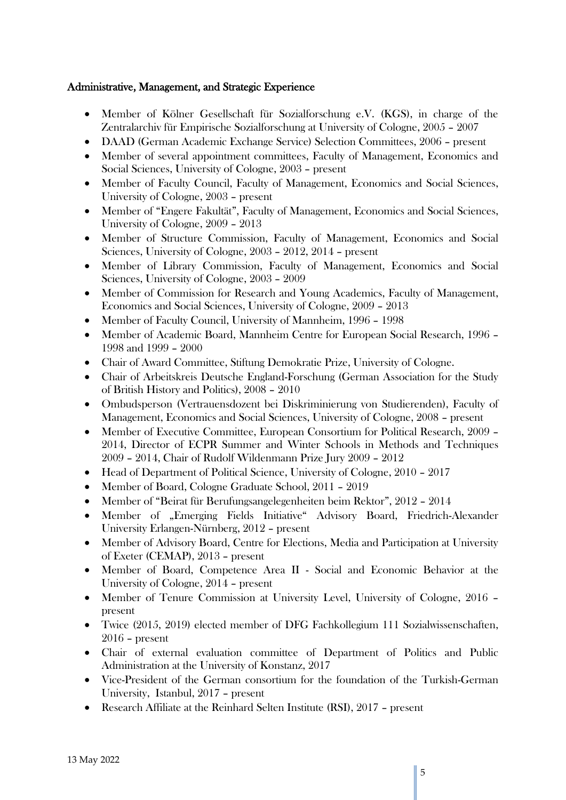## Administrative, Management, and Strategic Experience

- Member of Kölner Gesellschaft für Sozialforschung e.V. (KGS), in charge of the Zentralarchiv für Empirische Sozialforschung at University of Cologne, 2005 – 2007
- DAAD (German Academic Exchange Service) Selection Committees, 2006 present
- Member of several appointment committees, Faculty of Management, Economics and Social Sciences, University of Cologne, 2003 – present
- Member of Faculty Council, Faculty of Management, Economics and Social Sciences, University of Cologne, 2003 – present
- Member of "Engere Fakultät", Faculty of Management, Economics and Social Sciences, University of Cologne, 2009 – 2013
- Member of Structure Commission, Faculty of Management, Economics and Social Sciences, University of Cologne, 2003 – 2012, 2014 – present
- Member of Library Commission, Faculty of Management, Economics and Social Sciences, University of Cologne, 2003 – 2009
- Member of Commission for Research and Young Academics, Faculty of Management, Economics and Social Sciences, University of Cologne, 2009 – 2013
- Member of Faculty Council, University of Mannheim, 1996 1998
- Member of Academic Board, Mannheim Centre for European Social Research, 1996 1998 and 1999 – 2000
- Chair of Award Committee, Stiftung Demokratie Prize, University of Cologne.
- Chair of Arbeitskreis Deutsche England-Forschung (German Association for the Study of British History and Politics), 2008 – 2010
- Ombudsperson (Vertrauensdozent bei Diskriminierung von Studierenden), Faculty of Management, Economics and Social Sciences, University of Cologne, 2008 – present
- Member of Executive Committee, European Consortium for Political Research, 2009 2014, Director of ECPR Summer and Winter Schools in Methods and Techniques 2009 – 2014, Chair of Rudolf Wildenmann Prize Jury 2009 – 2012
- Head of Department of Political Science, University of Cologne, 2010 2017
- Member of Board, Cologne Graduate School, 2011 2019
- Member of "Beirat für Berufungsangelegenheiten beim Rektor", 2012 2014
- Member of "Emerging Fields Initiative" Advisory Board, Friedrich-Alexander University Erlangen-Nürnberg, 2012 – present
- Member of Advisory Board, Centre for Elections, Media and Participation at University of Exeter (CEMAP), 2013 – present
- Member of Board, Competence Area II Social and Economic Behavior at the University of Cologne, 2014 – present
- Member of Tenure Commission at University Level, University of Cologne, 2016 present
- Twice (2015, 2019) elected member of DFG Fachkollegium 111 Sozialwissenschaften, 2016 – present
- Chair of external evaluation committee of Department of Politics and Public Administration at the University of Konstanz, 2017
- Vice-President of the German consortium for the foundation of the Turkish-German University, Istanbul, 2017 – present
- Research Affiliate at the Reinhard Selten Institute (RSI), 2017 present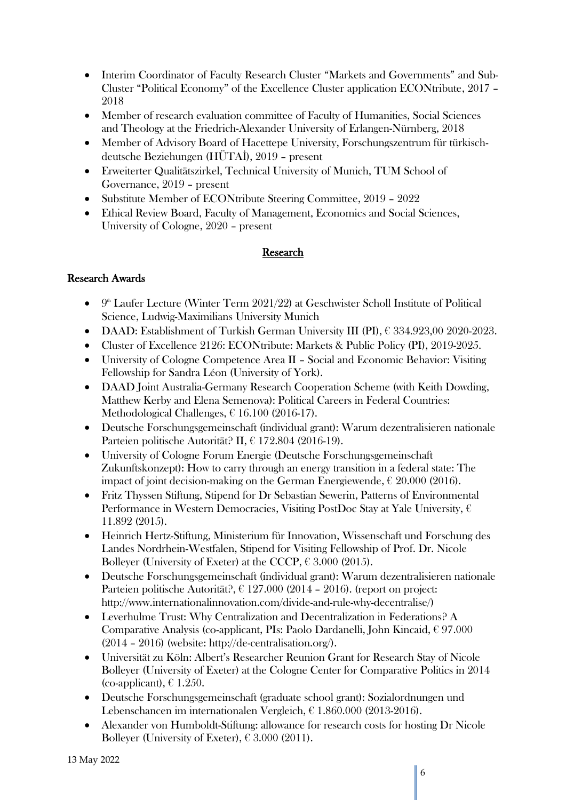- Interim Coordinator of Faculty Research Cluster "Markets and Governments" and Sub-Cluster "Political Economy" of the Excellence Cluster application ECONtribute, 2017 – 2018
- Member of research evaluation committee of Faculty of Humanities, Social Sciences and Theology at the Friedrich-Alexander University of Erlangen-Nürnberg, 2018
- Member of Advisory Board of Hacettepe University, Forschungszentrum für türkischdeutsche Beziehungen (HÜTAİ), 2019 – present
- Erweiterter Qualitätszirkel, Technical University of Munich, TUM School of Governance, 2019 – present
- Substitute Member of ECONtribute Steering Committee, 2019 2022
- Ethical Review Board, Faculty of Management, Economics and Social Sciences, University of Cologne, 2020 – present

# **Research**

# Research Awards

- $\bullet$  9<sup>th</sup> Laufer Lecture (Winter Term 2021/22) at Geschwister Scholl Institute of Political Science, Ludwig-Maximilians University Munich
- $\bullet$  DAAD: Establishment of Turkish German University III (PI),  $\epsilon$  334.923,00 2020-2023.
- Cluster of Excellence 2126: ECONtribute: Markets & Public Policy (PI), 2019-2025.
- University of Cologne Competence Area II Social and Economic Behavior: Visiting Fellowship for Sandra Léon (University of York).
- DAAD Joint Australia-Germany Research Cooperation Scheme (with Keith Dowding, Matthew Kerby and Elena Semenova): Political Careers in Federal Countries: Methodological Challenges, € 16.100 (2016-17).
- Deutsche Forschungsgemeinschaft (individual grant): Warum dezentralisieren nationale Parteien politische Autorität? II, € 172.804 (2016-19).
- University of Cologne Forum Energie (Deutsche Forschungsgemeinschaft Zukunftskonzept): How to carry through an energy transition in a federal state: The impact of joint decision-making on the German Energiewende,  $\epsilon$  20.000 (2016).
- Fritz Thyssen Stiftung, Stipend for Dr Sebastian Sewerin, Patterns of Environmental Performance in Western Democracies, Visiting PostDoc Stay at Yale University,  $\epsilon$ 11.892 (2015).
- Heinrich Hertz-Stiftung, Ministerium für Innovation, Wissenschaft und Forschung des Landes Nordrhein-Westfalen, Stipend for Visiting Fellowship of Prof. Dr. Nicole Bolleyer (University of Exeter) at the CCCP,  $\epsilon$  3.000 (2015).
- Deutsche Forschungsgemeinschaft (individual grant): Warum dezentralisieren nationale Parteien politische Autorität?, € 127.000 (2014 – 2016). (report on project: http://www.internationalinnovation.com/divide-and-rule-why-decentralise/)
- Leverhulme Trust: Why Centralization and Decentralization in Federations? A Comparative Analysis (co-applicant, PIs: Paolo Dardanelli, John Kincaid, € 97.000 (2014 – 2016) (website: http://de-centralisation.org/).
- Universität zu Köln: Albert's Researcher Reunion Grant for Research Stay of Nicole Bolleyer (University of Exeter) at the Cologne Center for Comparative Politics in 2014 (co-applicant),  $\epsilon$  1.250.
- Deutsche Forschungsgemeinschaft (graduate school grant): Sozialordnungen und Lebenschancen im internationalen Vergleich, € 1.860.000 (2013-2016).
- Alexander von Humboldt-Stiftung: allowance for research costs for hosting Dr Nicole Bolleyer (University of Exeter),  $\epsilon$  3.000 (2011).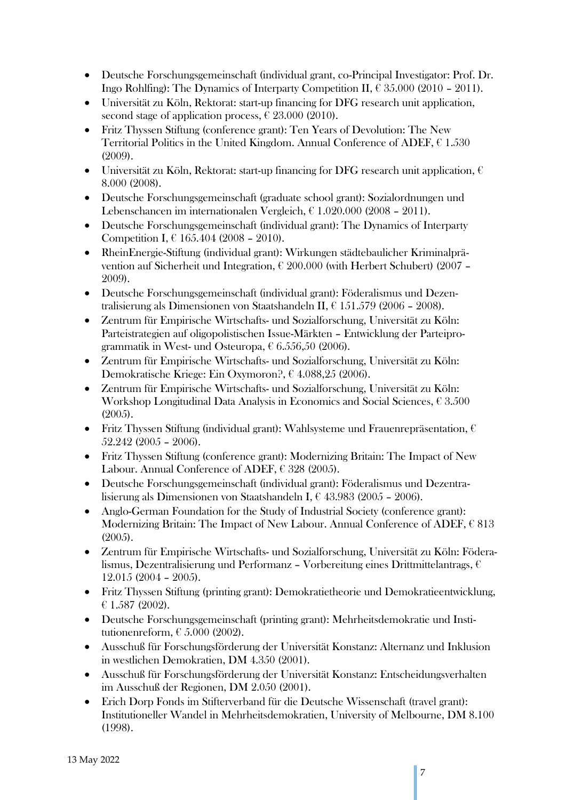- Deutsche Forschungsgemeinschaft (individual grant, co-Principal Investigator: Prof. Dr. Ingo Rohlfing): The Dynamics of Interparty Competition II,  $\epsilon$  35.000 (2010 – 2011).
- Universität zu Köln, Rektorat: start-up financing for DFG research unit application, second stage of application process,  $\epsilon$  23.000 (2010).
- Fritz Thyssen Stiftung (conference grant): Ten Years of Devolution: The New Territorial Politics in the United Kingdom. Annual Conference of ADEF,  $\epsilon$  1.530 (2009).
- Universität zu Köln, Rektorat: start-up financing for DFG research unit application,  $\epsilon$ 8.000 (2008).
- Deutsche Forschungsgemeinschaft (graduate school grant): Sozialordnungen und Lebenschancen im internationalen Vergleich,  $\epsilon$  1.020.000 (2008 – 2011).
- Deutsche Forschungsgemeinschaft (individual grant): The Dynamics of Interparty Competition I,  $\epsilon$  165.404 (2008 – 2010).
- RheinEnergie-Stiftung (individual grant): Wirkungen städtebaulicher Kriminalprävention auf Sicherheit und Integration, € 200.000 (with Herbert Schubert) (2007 – 2009).
- Deutsche Forschungsgemeinschaft (individual grant): Föderalismus und Dezentralisierung als Dimensionen von Staatshandeln II, € 151.579 (2006 – 2008).
- Zentrum für Empirische Wirtschafts- und Sozialforschung, Universität zu Köln: Parteistrategien auf oligopolistischen Issue-Märkten – Entwicklung der Parteiprogrammatik in West- und Osteuropa,  $\epsilon$  6.556,50 (2006).
- Zentrum für Empirische Wirtschafts- und Sozialforschung, Universität zu Köln: Demokratische Kriege: Ein Oxymoron?, € 4.088,25 (2006).
- Zentrum für Empirische Wirtschafts- und Sozialforschung, Universität zu Köln: Workshop Longitudinal Data Analysis in Economics and Social Sciences, € 3.500 (2005).
- Fritz Thyssen Stiftung (individual grant): Wahlsysteme und Frauenrepräsentation,  $\epsilon$ 52.242 (2005 – 2006).
- Fritz Thyssen Stiftung (conference grant): Modernizing Britain: The Impact of New Labour. Annual Conference of ADEF,  $\epsilon$  328 (2005).
- Deutsche Forschungsgemeinschaft (individual grant): Föderalismus und Dezentralisierung als Dimensionen von Staatshandeln I, € 43.983 (2005 – 2006).
- Anglo-German Foundation for the Study of Industrial Society (conference grant): Modernizing Britain: The Impact of New Labour. Annual Conference of ADEF,  $\epsilon$  813 (2005).
- Zentrum für Empirische Wirtschafts- und Sozialforschung, Universität zu Köln: Föderalismus, Dezentralisierung und Performanz – Vorbereitung eines Drittmittelantrags, € 12.015 (2004 – 2005).
- Fritz Thyssen Stiftung (printing grant): Demokratietheorie und Demokratieentwicklung,  $£ 1.587 (2002).$
- Deutsche Forschungsgemeinschaft (printing grant): Mehrheitsdemokratie und Institutionenreform,  $\epsilon$  5.000 (2002).
- Ausschuß für Forschungsförderung der Universität Konstanz: Alternanz und Inklusion in westlichen Demokratien, DM 4.350 (2001).
- Ausschuß für Forschungsförderung der Universität Konstanz: Entscheidungsverhalten im Ausschuß der Regionen, DM 2.050 (2001).
- Erich Dorp Fonds im Stifterverband für die Deutsche Wissenschaft (travel grant): Institutioneller Wandel in Mehrheitsdemokratien, University of Melbourne, DM 8.100 (1998).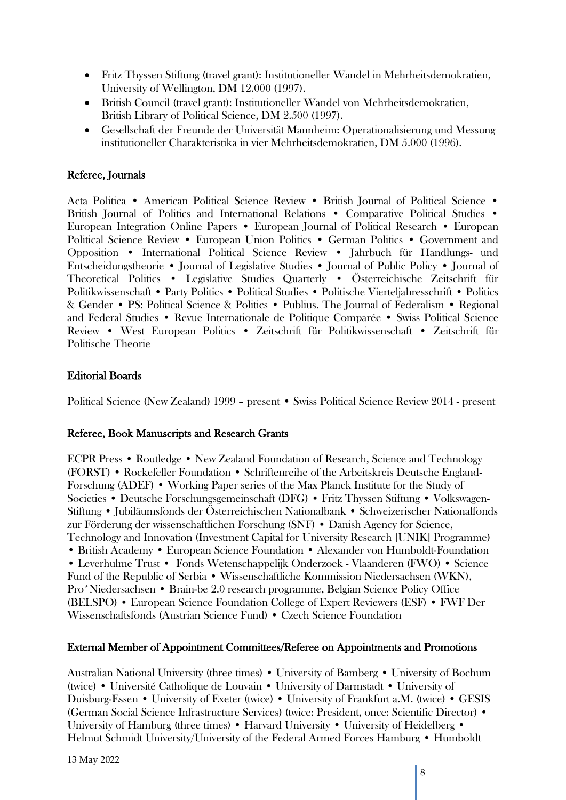- Fritz Thyssen Stiftung (travel grant): Institutioneller Wandel in Mehrheitsdemokratien, University of Wellington, DM 12.000 (1997).
- British Council (travel grant): Institutioneller Wandel von Mehrheitsdemokratien, British Library of Political Science, DM 2.500 (1997).
- Gesellschaft der Freunde der Universität Mannheim: Operationalisierung und Messung institutioneller Charakteristika in vier Mehrheitsdemokratien, DM 5.000 (1996).

# Referee, Journals

Acta Politica • American Political Science Review • British Journal of Political Science • British Journal of Politics and International Relations • Comparative Political Studies • European Integration Online Papers • European Journal of Political Research • European Political Science Review • European Union Politics • German Politics • Government and Opposition • International Political Science Review • Jahrbuch für Handlungs- und Entscheidungstheorie • Journal of Legislative Studies • Journal of Public Policy • Journal of Theoretical Politics • Legislative Studies Quarterly • Österreichische Zeitschrift für Politikwissenschaft • Party Politics • Political Studies • Politische Vierteljahresschrift • Politics & Gender • PS: Political Science & Politics • Publius. The Journal of Federalism • Regional and Federal Studies • Revue Internationale de Politique Comparée • Swiss Political Science Review • West European Politics • Zeitschrift für Politikwissenschaft • Zeitschrift für Politische Theorie

# Editorial Boards

Political Science (New Zealand) 1999 – present • Swiss Political Science Review 2014 - present

## Referee, Book Manuscripts and Research Grants

ECPR Press • Routledge • New Zealand Foundation of Research, Science and Technology (FORST) • Rockefeller Foundation • Schriftenreihe of the Arbeitskreis Deutsche England-Forschung (ADEF) • Working Paper series of the Max Planck Institute for the Study of Societies • Deutsche Forschungsgemeinschaft (DFG) • Fritz Thyssen Stiftung • Volkswagen-Stiftung • Jubiläumsfonds der Österreichischen Nationalbank • Schweizerischer Nationalfonds zur Förderung der wissenschaftlichen Forschung (SNF) • Danish Agency for Science, Technology and Innovation (Investment Capital for University Research [UNIK] Programme) • British Academy • European Science Foundation • Alexander von Humboldt-Foundation • Leverhulme Trust • Fonds Wetenschappelijk Onderzoek - Vlaanderen (FWO) • Science Fund of the Republic of Serbia • Wissenschaftliche Kommission Niedersachsen (WKN), Pro\*Niedersachsen • Brain-be 2.0 research programme, Belgian Science Policy Office (BELSPO) • European Science Foundation College of Expert Reviewers (ESF) • FWF Der Wissenschaftsfonds (Austrian Science Fund) • Czech Science Foundation

## External Member of Appointment Committees/Referee on Appointments and Promotions

Australian National University (three times) • University of Bamberg • University of Bochum (twice) • Université Catholique de Louvain • University of Darmstadt • University of Duisburg-Essen • University of Exeter (twice) • University of Frankfurt a.M. (twice) • GESIS (German Social Science Infrastructure Services) (twice: President, once: Scientific Director) • University of Hamburg (three times) • Harvard University • University of Heidelberg • Helmut Schmidt University/University of the Federal Armed Forces Hamburg • Humboldt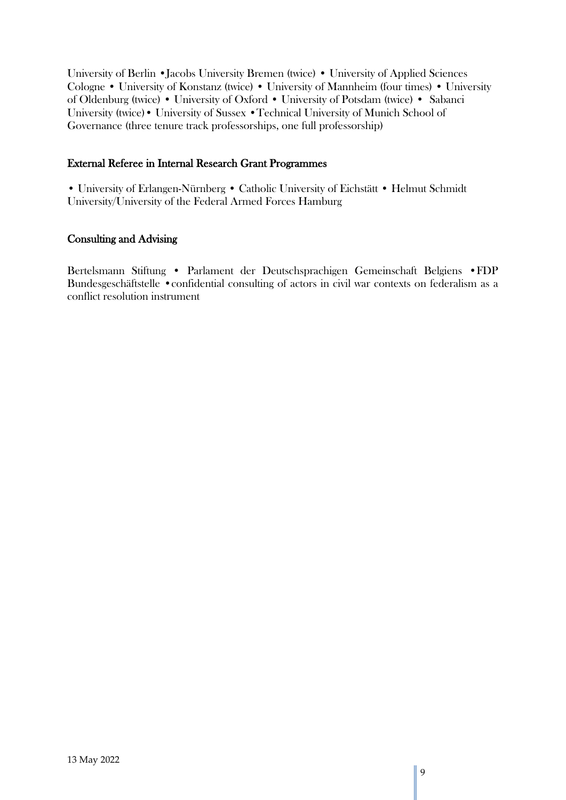University of Berlin •Jacobs University Bremen (twice) • University of Applied Sciences Cologne • University of Konstanz (twice) • University of Mannheim (four times) • University of Oldenburg (twice) • University of Oxford • University of Potsdam (twice) • Sabanci University (twice)• University of Sussex •Technical University of Munich School of Governance (three tenure track professorships, one full professorship)

## External Referee in Internal Research Grant Programmes

• University of Erlangen-Nürnberg • Catholic University of Eichstätt • Helmut Schmidt University/University of the Federal Armed Forces Hamburg

## Consulting and Advising

Bertelsmann Stiftung • Parlament der Deutschsprachigen Gemeinschaft Belgiens •FDP Bundesgeschäftstelle •confidential consulting of actors in civil war contexts on federalism as a conflict resolution instrument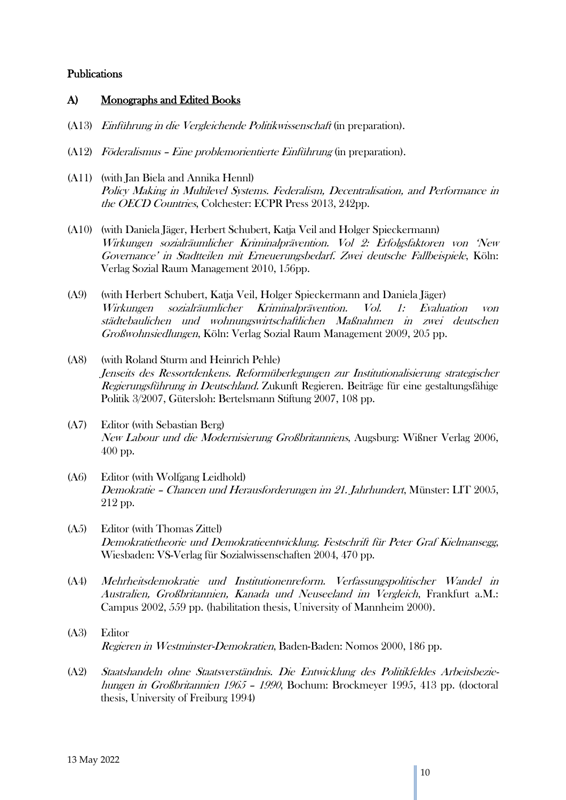## Publications

## A) Monographs and Edited Books

- (A13) Einführung in die Vergleichende Politikwissenschaft (in preparation).
- (A12) Föderalismus Eine problemorientierte Einführung (in preparation).
- (A11) (with Jan Biela and Annika Hennl) Policy Making in Multilevel Systems. Federalism, Decentralisation, and Performance in the OECD Countries, Colchester: ECPR Press 2013, 242pp.
- (A10) (with Daniela Jäger, Herbert Schubert, Katja Veil and Holger Spieckermann) Wirkungen sozialräumlicher Kriminalprävention. Vol 2: Erfolgsfaktoren von 'New Governance' in Stadtteilen mit Erneuerungsbedarf. Zwei deutsche Fallbeispiele, Köln: Verlag Sozial Raum Management 2010, 156pp.
- (A9) (with Herbert Schubert, Katja Veil, Holger Spieckermann and Daniela Jäger) Wirkungen sozialräumlicher Kriminalprävention. Vol. 1: Evaluation von städtebaulichen und wohnungswirtschaftlichen Maßnahmen in zwei deutschen Großwohnsiedlungen, Köln: Verlag Sozial Raum Management 2009, 205 pp.
- (A8) (with Roland Sturm and Heinrich Pehle) Jenseits des Ressortdenkens. Reformüberlegungen zur Institutionalisierung strategischer Regierungsführung in Deutschland. Zukunft Regieren. Beiträge für eine gestaltungsfähige Politik 3/2007, Gütersloh: Bertelsmann Stiftung 2007, 108 pp.
- (A7) Editor (with Sebastian Berg) New Labour und die Modernisierung Großbritanniens, Augsburg: Wißner Verlag 2006, 400 pp.
- (A6) Editor (with Wolfgang Leidhold) Demokratie – Chancen und Herausforderungen im 21. Jahrhundert, Münster: LIT 2005, 212 pp.
- (A5) Editor (with Thomas Zittel) Demokratietheorie und Demokratieentwicklung. Festschrift für Peter Graf Kielmansegg, Wiesbaden: VS-Verlag für Sozialwissenschaften 2004, 470 pp.
- (A4) Mehrheitsdemokratie und Institutionenreform. Verfassungspolitischer Wandel in Australien, Großbritannien, Kanada und Neuseeland im Vergleich, Frankfurt a.M.: Campus 2002, 559 pp. (habilitation thesis, University of Mannheim 2000).
- (A3) Editor Regieren in Westminster-Demokratien, Baden-Baden: Nomos 2000, 186 pp.
- (A2) Staatshandeln ohne Staatsverständnis. Die Entwicklung des Politikfeldes Arbeitsbeziehungen in Großbritannien 1965 – <sup>1990</sup>, Bochum: Brockmeyer 1995, 413 pp. (doctoral thesis, University of Freiburg 1994)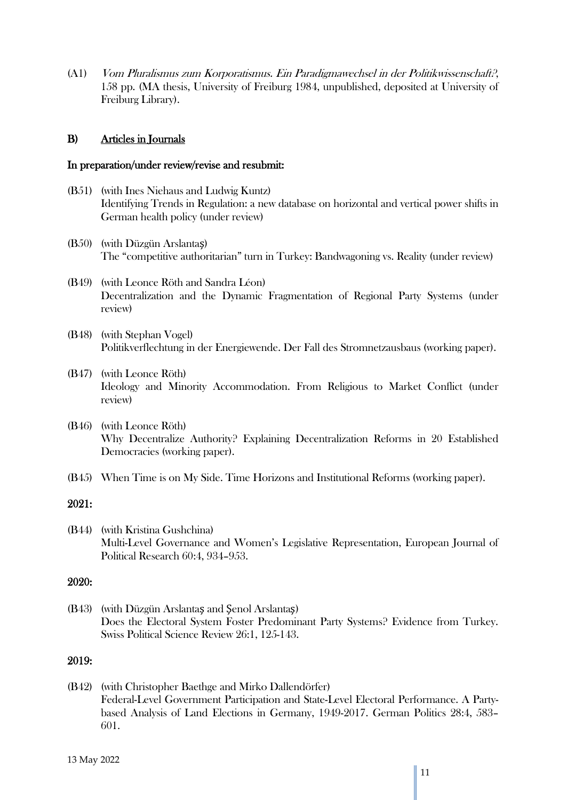(A1) Vom Pluralismus zum Korporatismus. Ein Paradigmawechsel in der Politikwissenschaft?, 158 pp. (MA thesis, University of Freiburg 1984, unpublished, deposited at University of Freiburg Library).

## B) Articles in Journals

#### In preparation/under review/revise and resubmit:

- (B51) (with Ines Niehaus and Ludwig Kuntz) Identifying Trends in Regulation: a new database on horizontal and vertical power shifts in German health policy (under review)
- (B50) (with Düzgün Arslantaş) The "competitive authoritarian" turn in Turkey: Bandwagoning vs. Reality (under review)
- (B49) (with Leonce Röth and Sandra Léon) Decentralization and the Dynamic Fragmentation of Regional Party Systems (under review)
- (B48) (with Stephan Vogel) Politikverflechtung in der Energiewende. Der Fall des Stromnetzausbaus (working paper).
- (B47) (with Leonce Röth) Ideology and Minority Accommodation. From Religious to Market Conflict (under review)
- (B46) (with Leonce Röth) Why Decentralize Authority? Explaining Decentralization Reforms in 20 Established Democracies (working paper).
- (B45) When Time is on My Side. Time Horizons and Institutional Reforms (working paper).

#### 2021:

(B44) (with Kristina Gushchina) Multi-Level Governance and Women's Legislative Representation, European Journal of Political Research 60:4, 934–953.

## 2020:

(B43) (with Düzgün Arslantaş and Şenol Arslantaş) Does the Electoral System Foster Predominant Party Systems? Evidence from Turkey. Swiss Political Science Review 26:1, 125-143.

## 2019:

(B42) (with Christopher Baethge and Mirko Dallendörfer) Federal-Level Government Participation and State-Level Electoral Performance. A Partybased Analysis of Land Elections in Germany, 1949-2017. German Politics 28:4, 583– 601.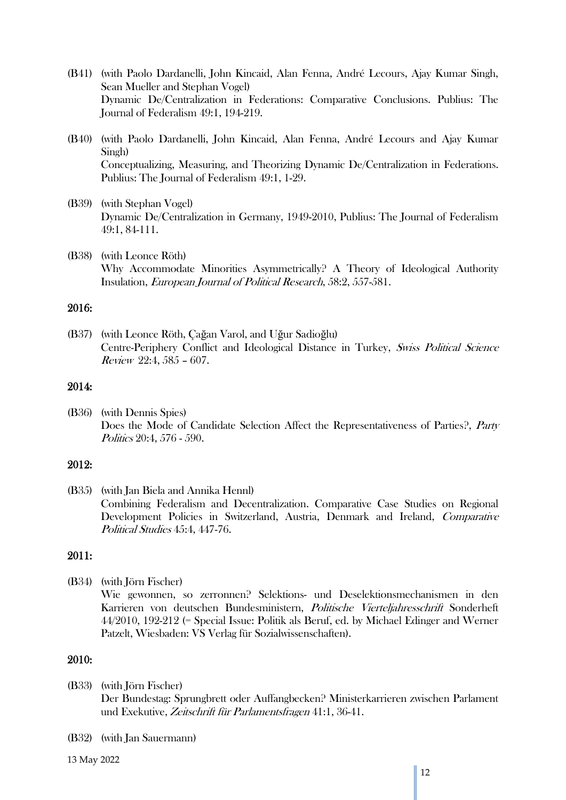- (B41) (with Paolo Dardanelli, John Kincaid, Alan Fenna, André Lecours, Ajay Kumar Singh, Sean Mueller and Stephan Vogel) Dynamic De/Centralization in Federations: Comparative Conclusions. Publius: The Journal of Federalism 49:1, 194-219.
- (B40) (with Paolo Dardanelli, John Kincaid, Alan Fenna, André Lecours and Ajay Kumar Singh) Conceptualizing, Measuring, and Theorizing Dynamic De/Centralization in Federations. Publius: The Journal of Federalism 49:1, 1-29.
- (B39) (with Stephan Vogel) Dynamic De/Centralization in Germany, 1949-2010, Publius: The Journal of Federalism 49:1, 84-111.
- (B38) (with Leonce Röth) Why Accommodate Minorities Asymmetrically? A Theory of Ideological Authority Insulation, European Journal of Political Research, 58:2, 557-581.

## 2016:

(B37) (with Leonce Röth, Çağan Varol, and Uğur Sadioğlu) Centre-Periphery Conflict and Ideological Distance in Turkey, Swiss Political Science Review 22:4, 585 – 607.

#### 2014:

(B36) (with Dennis Spies) Does the Mode of Candidate Selection Affect the Representativeness of Parties?, Party Politics 20:4, 576 - 590.

#### 2012:

(B35) (with Jan Biela and Annika Hennl) Combining Federalism and Decentralization. Comparative Case Studies on Regional Development Policies in Switzerland, Austria, Denmark and Ireland, Comparative Political Studies 45:4, 447-76.

# 2011:

(B34) (with Jörn Fischer)

Wie gewonnen, so zerronnen? Selektions- und Deselektionsmechanismen in den Karrieren von deutschen Bundesministern, Politische Vierteljahresschrift Sonderheft 44/2010, 192-212 (= Special Issue: Politik als Beruf, ed. by Michael Edinger and Werner Patzelt, Wiesbaden: VS Verlag für Sozialwissenschaften).

- (B33) (with Jörn Fischer) Der Bundestag: Sprungbrett oder Auffangbecken? Ministerkarrieren zwischen Parlament und Exekutive, Zeitschrift für Parlamentsfragen 41:1, 36-41.
- (B32) (with Jan Sauermann)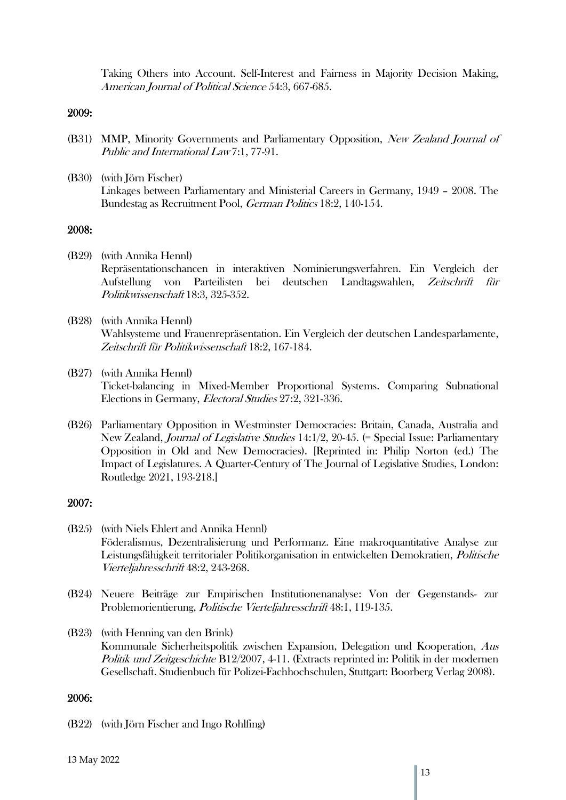Taking Others into Account. Self-Interest and Fairness in Majority Decision Making, American Journal of Political Science 54:3, 667-685.

#### 2009:

- (B31) MMP, Minority Governments and Parliamentary Opposition, New Zealand Journal of Public and International Law 7:1, 77-91.
- (B30) (with Jörn Fischer) Linkages between Parliamentary and Ministerial Careers in Germany, 1949 – 2008. The Bundestag as Recruitment Pool, German Politics 18:2, 140-154.

### 2008:

- (B29) (with Annika Hennl) Repräsentationschancen in interaktiven Nominierungsverfahren. Ein Vergleich der Aufstellung von Parteilisten bei deutschen Landtagswahlen, Zeitschrift für Politikwissenschaft 18:3, 325-352.
- (B28) (with Annika Hennl) Wahlsysteme und Frauenrepräsentation. Ein Vergleich der deutschen Landesparlamente, Zeitschrift für Politikwissenschaft 18:2, 167-184.
- (B27) (with Annika Hennl) Ticket-balancing in Mixed-Member Proportional Systems. Comparing Subnational Elections in Germany, Electoral Studies 27:2, 321-336.
- (B26) Parliamentary Opposition in Westminster Democracies: Britain, Canada, Australia and New Zealand, Journal of Legislative Studies 14:1/2, 20-45. (= Special Issue: Parliamentary Opposition in Old and New Democracies). [Reprinted in: Philip Norton (ed.) The Impact of Legislatures. A Quarter-Century of The Journal of Legislative Studies, London: Routledge 2021, 193-218.]

## 2007:

- (B25) (with Niels Ehlert and Annika Hennl) Föderalismus, Dezentralisierung und Performanz. Eine makroquantitative Analyse zur Leistungsfähigkeit territorialer Politikorganisation in entwickelten Demokratien, Politische Vierteljahresschrift 48:2, 243-268.
- (B24) Neuere Beiträge zur Empirischen Institutionenanalyse: Von der Gegenstands- zur Problemorientierung, Politische Vierteljahresschrift 48:1, 119-135.
- (B23) (with Henning van den Brink) Kommunale Sicherheitspolitik zwischen Expansion, Delegation und Kooperation, Aus Politik und Zeitgeschichte B12/2007, 4-11. (Extracts reprinted in: Politik in der modernen Gesellschaft. Studienbuch für Polizei-Fachhochschulen, Stuttgart: Boorberg Verlag 2008).

#### 2006:

(B22) (with Jörn Fischer and Ingo Rohlfing)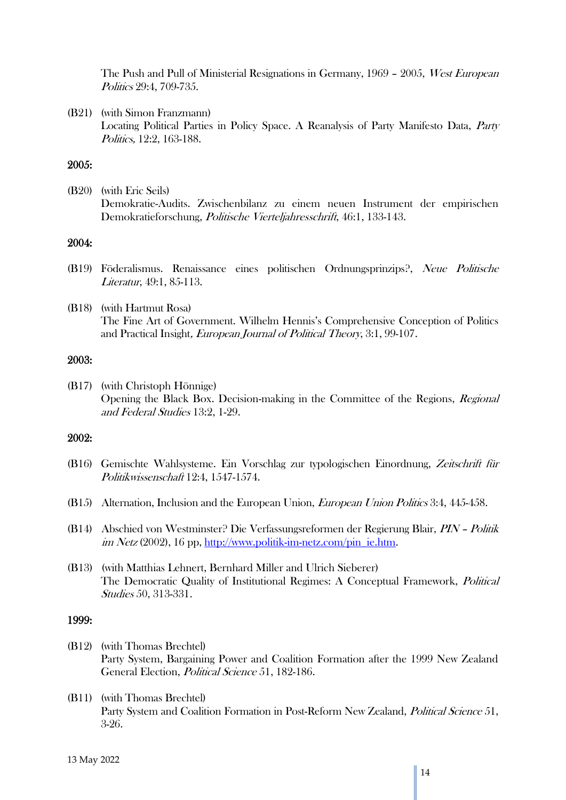The Push and Pull of Ministerial Resignations in Germany, 1969 – 2005, West European Politics 29:4, 709-735.

(B21) (with Simon Franzmann) Locating Political Parties in Policy Space. A Reanalysis of Party Manifesto Data, Party Politics, 12:2, 163-188.

### 2005:

(B20) (with Eric Seils) Demokratie-Audits. Zwischenbilanz zu einem neuen Instrument der empirischen Demokratieforschung, Politische Vierteljahresschrift, 46:1, 133-143.

#### 2004:

- (B19) Föderalismus. Renaissance eines politischen Ordnungsprinzips?, Neue Politische Literatur, 49:1, 85-113.
- (B18) (with Hartmut Rosa) The Fine Art of Government. Wilhelm Hennis's Comprehensive Conception of Politics and Practical Insight, European Journal of Political Theory, 3:1, 99-107.

#### 2003:

(B17) (with Christoph Hönnige) Opening the Black Box. Decision-making in the Committee of the Regions, Regional and Federal Studies 13:2, 1-29.

#### 2002:

- (B16) Gemischte Wahlsysteme. Ein Vorschlag zur typologischen Einordnung, Zeitschrift für Politikwissenschaft 12:4, 1547-1574.
- (B15) Alternation, Inclusion and the European Union, *European Union Politics* 3:4, 445-458.
- (B14) Abschied von Westminster? Die Verfassungsreformen der Regierung Blair, PIN Politik im Netz (2002), 16 pp, [http://www.politik-im-netz.com/pin\\_ie.htm.](http://www.politik-im-netz.com/pin_ie.htm)
- (B13) (with Matthias Lehnert, Bernhard Miller and Ulrich Sieberer) The Democratic Quality of Institutional Regimes: A Conceptual Framework, *Political* Studies 50, 313-331.

- (B12) (with Thomas Brechtel) Party System, Bargaining Power and Coalition Formation after the 1999 New Zealand General Election, Political Science 51, 182-186.
- (B11) (with Thomas Brechtel) Party System and Coalition Formation in Post-Reform New Zealand, Political Science 51, 3-26.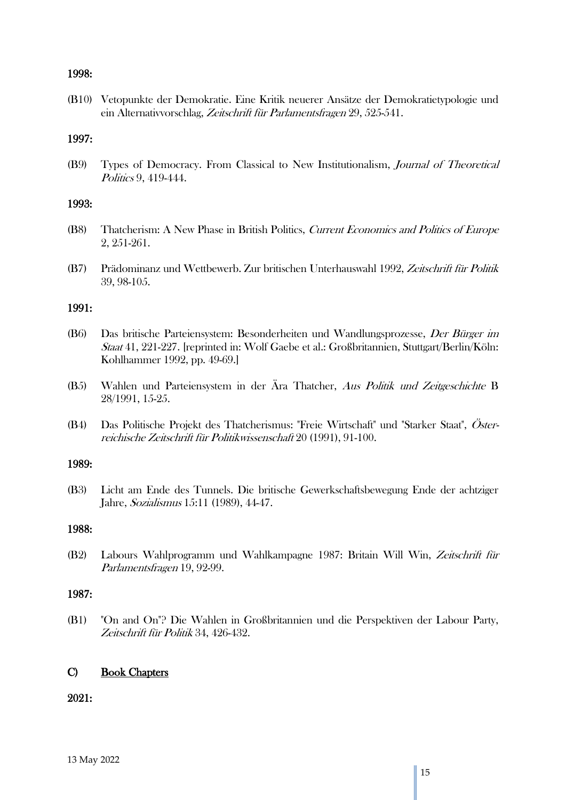### 1998:

(B10) Vetopunkte der Demokratie. Eine Kritik neuerer Ansätze der Demokratietypologie und ein Alternativvorschlag, Zeitschrift für Parlamentsfragen 29, 525-541.

#### 1997:

(B9) Types of Democracy. From Classical to New Institutionalism, Journal of Theoretical Politics 9, 419-444.

#### 1993:

- (B8) Thatcherism: A New Phase in British Politics, Current Economics and Politics of Europe 2, 251-261.
- (B7) Prädominanz und Wettbewerb. Zur britischen Unterhauswahl 1992, Zeitschrift für Politik 39, 98-105.

### 1991:

- (B6) Das britische Parteiensystem: Besonderheiten und Wandlungsprozesse, Der Bürger im Staat 41, 221-227. [reprinted in: Wolf Gaebe et al.: Großbritannien, Stuttgart/Berlin/Köln: Kohlhammer 1992, pp. 49-69.]
- (B5) Wahlen und Parteiensystem in der Ära Thatcher, Aus Politik und Zeitgeschichte B 28/1991, 15-25.
- (B4) Das Politische Projekt des Thatcherismus: "Freie Wirtschaft" und "Starker Staat", Österreichische Zeitschrift für Politikwissenschaft 20 (1991), 91-100.

#### 1989:

(B3) Licht am Ende des Tunnels. Die britische Gewerkschaftsbewegung Ende der achtziger Jahre, Sozialismus 15:11 (1989), 44-47.

#### 1988:

(B2) Labours Wahlprogramm und Wahlkampagne 1987: Britain Will Win, Zeitschrift für Parlamentsfragen 19, 92-99.

### 1987:

(B1) "On and On"? Die Wahlen in Großbritannien und die Perspektiven der Labour Party, Zeitschrift für Politik 34, 426-432.

## C) Book Chapters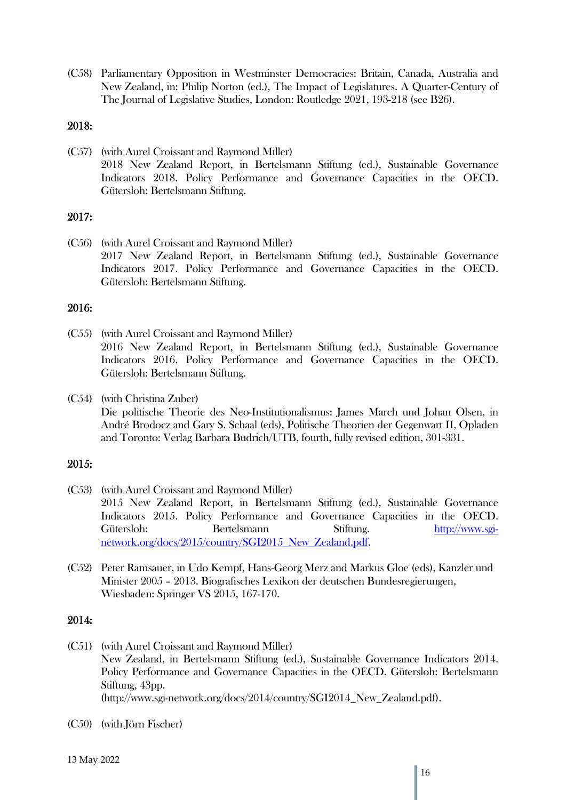(C58) Parliamentary Opposition in Westminster Democracies: Britain, Canada, Australia and New Zealand, in: Philip Norton (ed.), The Impact of Legislatures. A Quarter-Century of The Journal of Legislative Studies, London: Routledge 2021, 193-218 (see B26).

## 2018:

(C57) (with Aurel Croissant and Raymond Miller) 2018 New Zealand Report, in Bertelsmann Stiftung (ed.), Sustainable Governance Indicators 2018. Policy Performance and Governance Capacities in the OECD. Gütersloh: Bertelsmann Stiftung.

## 2017:

(C56) (with Aurel Croissant and Raymond Miller) 2017 New Zealand Report, in Bertelsmann Stiftung (ed.), Sustainable Governance Indicators 2017. Policy Performance and Governance Capacities in the OECD. Gütersloh: Bertelsmann Stiftung.

## 2016:

- (C55) (with Aurel Croissant and Raymond Miller) 2016 New Zealand Report, in Bertelsmann Stiftung (ed.), Sustainable Governance Indicators 2016. Policy Performance and Governance Capacities in the OECD. Gütersloh: Bertelsmann Stiftung.
- (C54) (with Christina Zuber) Die politische Theorie des Neo-Institutionalismus: James March und Johan Olsen, in André Brodocz and Gary S. Schaal (eds), Politische Theorien der Gegenwart II, Opladen and Toronto: Verlag Barbara Budrich/UTB, fourth, fully revised edition, 301-331.

## 2015:

- (C53) (with Aurel Croissant and Raymond Miller) 2015 New Zealand Report, in Bertelsmann Stiftung (ed.), Sustainable Governance Indicators 2015. Policy Performance and Governance Capacities in the OECD. Gütersloh: Bertelsmann Stiftung. [http://www.sgi](http://www.sgi-network.org/docs/2015/country/SGI2015_New_Zealand.pdf)[network.org/docs/2015/country/SGI2015\\_New\\_Zealand.pdf.](http://www.sgi-network.org/docs/2015/country/SGI2015_New_Zealand.pdf)
- (C52) Peter Ramsauer, in Udo Kempf, Hans-Georg Merz and Markus Gloe (eds), Kanzler und Minister 2005 – 2013. Biografisches Lexikon der deutschen Bundesregierungen, Wiesbaden: Springer VS 2015, 167-170.

- (C51) (with Aurel Croissant and Raymond Miller) New Zealand, in Bertelsmann Stiftung (ed.), Sustainable Governance Indicators 2014. Policy Performance and Governance Capacities in the OECD. Gütersloh: Bertelsmann Stiftung, 43pp. (http://www.sgi-network.org/docs/2014/country/SGI2014\_New\_Zealand.pdf).
- (C50) (with Jörn Fischer)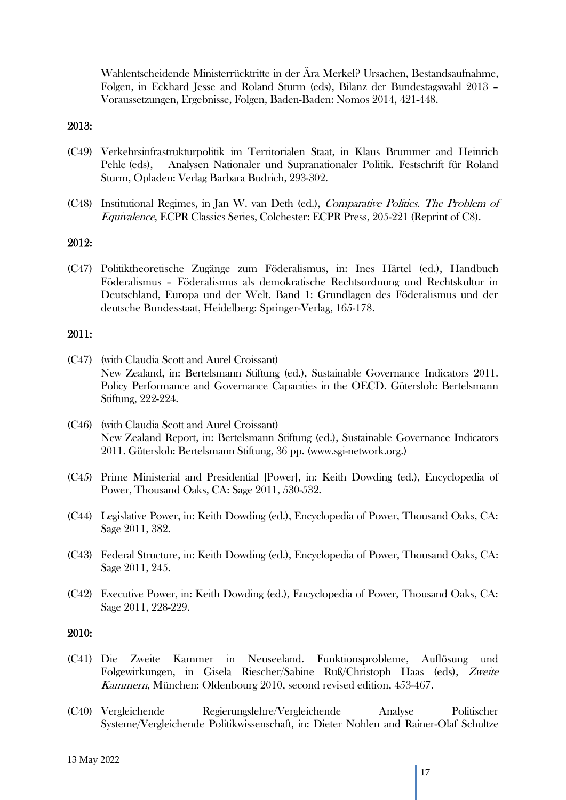Wahlentscheidende Ministerrücktritte in der Ära Merkel? Ursachen, Bestandsaufnahme, Folgen, in Eckhard Jesse and Roland Sturm (eds), Bilanz der Bundestagswahl 2013 – Voraussetzungen, Ergebnisse, Folgen, Baden-Baden: Nomos 2014, 421-448.

### 2013:

- (C49) Verkehrsinfrastrukturpolitik im Territorialen Staat, in Klaus Brummer and Heinrich Pehle (eds), Analysen Nationaler und Supranationaler Politik. Festschrift für Roland Sturm, Opladen: Verlag Barbara Budrich, 293-302.
- (C48) Institutional Regimes, in Jan W. van Deth (ed.), Comparative Politics. The Problem of Equivalence, ECPR Classics Series, Colchester: ECPR Press, 205-221 (Reprint of C8).

### 2012:

(C47) Politiktheoretische Zugänge zum Föderalismus, in: Ines Härtel (ed.), Handbuch Föderalismus – Föderalismus als demokratische Rechtsordnung und Rechtskultur in Deutschland, Europa und der Welt. Band 1: Grundlagen des Föderalismus und der deutsche Bundesstaat, Heidelberg: Springer-Verlag, 165-178.

#### 2011:

- (C47) (with Claudia Scott and Aurel Croissant) New Zealand, in: Bertelsmann Stiftung (ed.), Sustainable Governance Indicators 2011. Policy Performance and Governance Capacities in the OECD. Gütersloh: Bertelsmann Stiftung, 222-224.
- (C46) (with Claudia Scott and Aurel Croissant) New Zealand Report, in: Bertelsmann Stiftung (ed.), Sustainable Governance Indicators 2011. Gütersloh: Bertelsmann Stiftung, 36 pp. (www.sgi-network.org.)
- (C45) Prime Ministerial and Presidential [Power], in: Keith Dowding (ed.), Encyclopedia of Power, Thousand Oaks, CA: Sage 2011, 530-532.
- (C44) Legislative Power, in: Keith Dowding (ed.), Encyclopedia of Power, Thousand Oaks, CA: Sage 2011, 382.
- (C43) Federal Structure, in: Keith Dowding (ed.), Encyclopedia of Power, Thousand Oaks, CA: Sage 2011, 245.
- (C42) Executive Power, in: Keith Dowding (ed.), Encyclopedia of Power, Thousand Oaks, CA: Sage 2011, 228-229.

- (C41) Die Zweite Kammer in Neuseeland. Funktionsprobleme, Auflösung und Folgewirkungen, in Gisela Riescher/Sabine Ruß/Christoph Haas (eds), Zweite Kammern, München: Oldenbourg 2010, second revised edition, 453-467.
- (C40) Vergleichende Regierungslehre/Vergleichende Analyse Politischer Systeme/Vergleichende Politikwissenschaft, in: Dieter Nohlen and Rainer-Olaf Schultze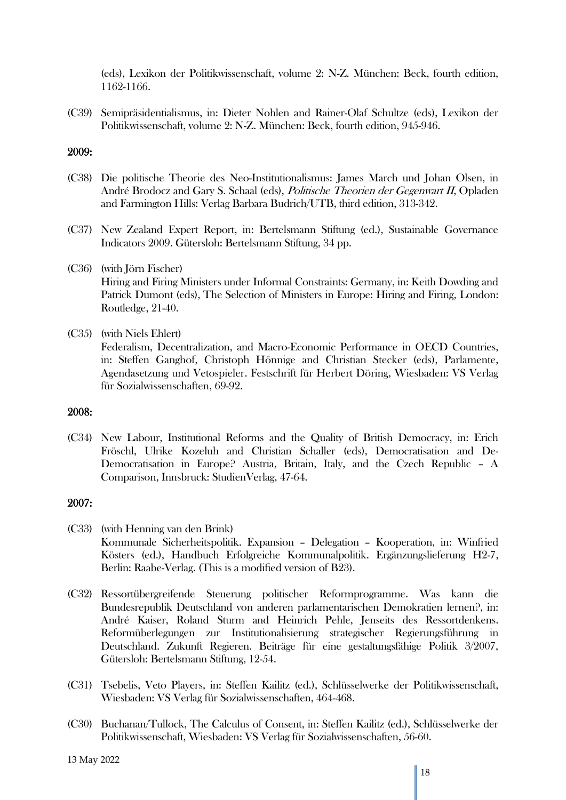(eds), Lexikon der Politikwissenschaft, volume 2: N-Z. München: Beck, fourth edition, 1162-1166.

(C39) Semipräsidentialismus, in: Dieter Nohlen and Rainer-Olaf Schultze (eds), Lexikon der Politikwissenschaft, volume 2: N-Z. München: Beck, fourth edition, 945-946.

### 2009:

- (C38) Die politische Theorie des Neo-Institutionalismus: James March und Johan Olsen, in André Brodocz and Gary S. Schaal (eds), Politische Theorien der Gegenwart II, Opladen and Farmington Hills: Verlag Barbara Budrich/UTB, third edition, 313-342.
- (C37) New Zealand Expert Report, in: Bertelsmann Stiftung (ed.), Sustainable Governance Indicators 2009. Gütersloh: Bertelsmann Stiftung, 34 pp.
- (C36) (with Jörn Fischer)

Hiring and Firing Ministers under Informal Constraints: Germany, in: Keith Dowding and Patrick Dumont (eds), The Selection of Ministers in Europe: Hiring and Firing, London: Routledge, 21-40.

(C35) (with Niels Ehlert)

Federalism, Decentralization, and Macro-Economic Performance in OECD Countries, in: Steffen Ganghof, Christoph Hönnige and Christian Stecker (eds), Parlamente, Agendasetzung und Vetospieler. Festschrift für Herbert Döring, Wiesbaden: VS Verlag für Sozialwissenschaften, 69-92.

#### 2008:

(C34) New Labour, Institutional Reforms and the Quality of British Democracy, in: Erich Fröschl, Ulrike Kozeluh and Christian Schaller (eds), Democratisation and De-Democratisation in Europe? Austria, Britain, Italy, and the Czech Republic – A Comparison, Innsbruck: StudienVerlag, 47-64.

- (C33) (with Henning van den Brink) Kommunale Sicherheitspolitik. Expansion – Delegation – Kooperation, in: Winfried Kösters (ed.), Handbuch Erfolgreiche Kommunalpolitik. Ergänzungslieferung H2-7, Berlin: Raabe-Verlag. (This is a modified version of B23).
- (C32) Ressortübergreifende Steuerung politischer Reformprogramme. Was kann die Bundesrepublik Deutschland von anderen parlamentarischen Demokratien lernen?, in: André Kaiser, Roland Sturm and Heinrich Pehle, Jenseits des Ressortdenkens. Reformüberlegungen zur Institutionalisierung strategischer Regierungsführung in Deutschland. Zukunft Regieren. Beiträge für eine gestaltungsfähige Politik 3/2007, Gütersloh: Bertelsmann Stiftung, 12-54.
- (C31) Tsebelis, Veto Players, in: Steffen Kailitz (ed.), Schlüsselwerke der Politikwissenschaft, Wiesbaden: VS Verlag für Sozialwissenschaften, 464-468.
- (C30) Buchanan/Tullock, The Calculus of Consent, in: Steffen Kailitz (ed.), Schlüsselwerke der Politikwissenschaft, Wiesbaden: VS Verlag für Sozialwissenschaften, 56-60.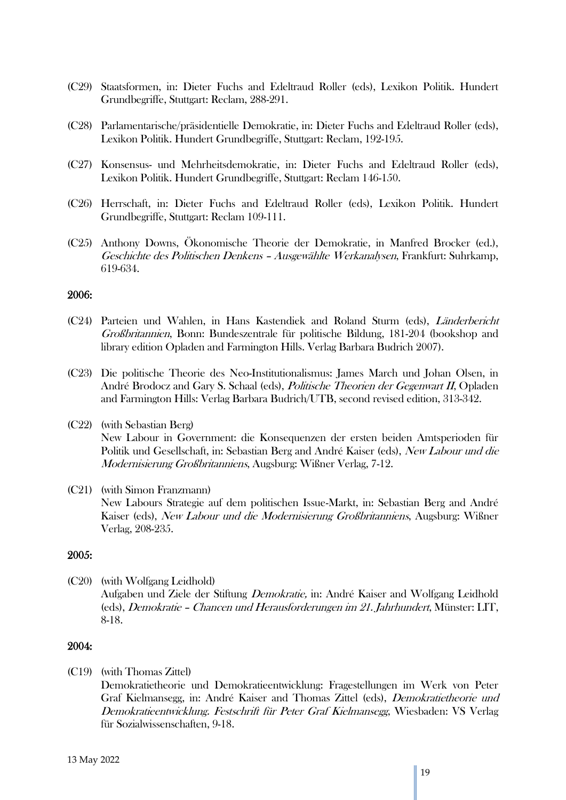- (C29) Staatsformen, in: Dieter Fuchs and Edeltraud Roller (eds), Lexikon Politik. Hundert Grundbegriffe, Stuttgart: Reclam, 288-291.
- (C28) Parlamentarische/präsidentielle Demokratie, in: Dieter Fuchs and Edeltraud Roller (eds), Lexikon Politik. Hundert Grundbegriffe, Stuttgart: Reclam, 192-195.
- (C27) Konsensus- und Mehrheitsdemokratie, in: Dieter Fuchs and Edeltraud Roller (eds), Lexikon Politik. Hundert Grundbegriffe, Stuttgart: Reclam 146-150.
- (C26) Herrschaft, in: Dieter Fuchs and Edeltraud Roller (eds), Lexikon Politik. Hundert Grundbegriffe, Stuttgart: Reclam 109-111.
- (C25) Anthony Downs, Ökonomische Theorie der Demokratie, in Manfred Brocker (ed.), Geschichte des Politischen Denkens – Ausgewählte Werkanalysen, Frankfurt: Suhrkamp, 619-634.

#### 2006:

- (C24) Parteien und Wahlen, in Hans Kastendiek and Roland Sturm (eds), Länderbericht Großbritannien, Bonn: Bundeszentrale für politische Bildung, 181-204 (bookshop and library edition Opladen and Farmington Hills. Verlag Barbara Budrich 2007).
- (C23) Die politische Theorie des Neo-Institutionalismus: James March und Johan Olsen, in André Brodocz and Gary S. Schaal (eds), Politische Theorien der Gegenwart II, Opladen and Farmington Hills: Verlag Barbara Budrich/UTB, second revised edition, 313-342.
- (C22) (with Sebastian Berg)

New Labour in Government: die Konsequenzen der ersten beiden Amtsperioden für Politik und Gesellschaft, in: Sebastian Berg and André Kaiser (eds), New Labour und die Modernisierung Großbritanniens, Augsburg: Wißner Verlag, 7-12.

(C21) (with Simon Franzmann) New Labours Strategie auf dem politischen Issue-Markt, in: Sebastian Berg and André Kaiser (eds), New Labour und die Modernisierung Großbritanniens, Augsburg: Wißner Verlag, 208-235.

## 2005:

(C20) (with Wolfgang Leidhold) Aufgaben und Ziele der Stiftung Demokratie, in: André Kaiser and Wolfgang Leidhold (eds), Demokratie – Chancen und Herausforderungen im 21. Jahrhundert, Münster: LIT, 8-18.

#### 2004:

(C19) (with Thomas Zittel)

Demokratietheorie und Demokratieentwicklung: Fragestellungen im Werk von Peter Graf Kielmansegg, in: André Kaiser and Thomas Zittel (eds), Demokratietheorie und Demokratieentwicklung. Festschrift für Peter Graf Kielmansegg, Wiesbaden: VS Verlag für Sozialwissenschaften, 9-18.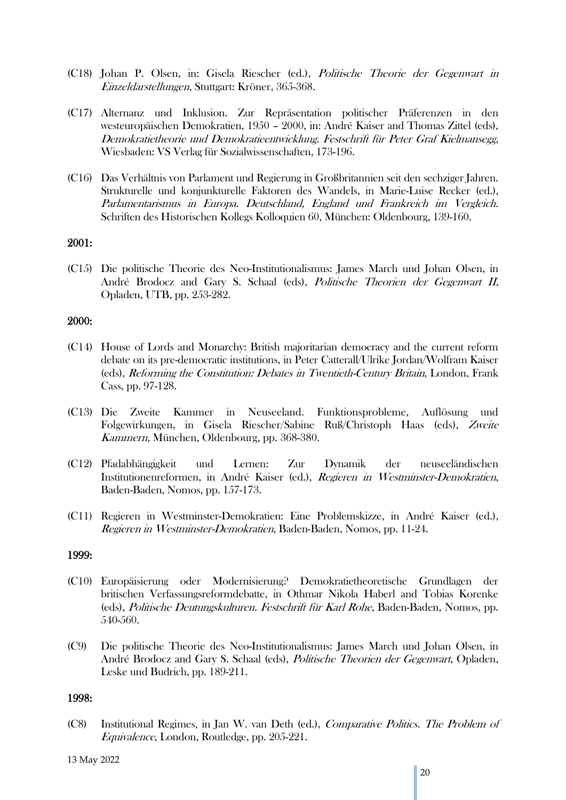- (C18) Johan P. Olsen, in: Gisela Riescher (ed.), Politische Theorie der Gegenwart in Einzeldarstellungen, Stuttgart: Kröner, 365-368.
- (C17) Alternanz und Inklusion. Zur Repräsentation politischer Präferenzen in den westeuropäischen Demokratien, 1950 – 2000, in: André Kaiser and Thomas Zittel (eds), Demokratietheorie und Demokratieentwicklung. Festschrift für Peter Graf Kielmansegg, Wiesbaden: VS Verlag für Sozialwissenschaften, 173-196.
- (C16) Das Verhältnis von Parlament und Regierung in Großbritannien seit den sechziger Jahren. Strukturelle und konjunkturelle Faktoren des Wandels, in Marie-Luise Recker (ed.), Parlamentarismus in Europa. Deutschland, England und Frankreich im Vergleich. Schriften des Historischen Kollegs Kolloquien 60, München: Oldenbourg, 139-160.

### 2001:

(C15) Die politische Theorie des Neo-Institutionalismus: James March und Johan Olsen, in André Brodocz and Gary S. Schaal (eds), Politische Theorien der Gegenwart II, Opladen, UTB, pp. 253-282.

### 2000:

- (C14) House of Lords and Monarchy: British majoritarian democracy and the current reform debate on its pre-democratic institutions, in Peter Catterall/Ulrike Jordan/Wolfram Kaiser (eds), Reforming the Constitution: Debates in Twentieth-Century Britain, London, Frank Cass, pp. 97-128.
- (C13) Die Zweite Kammer in Neuseeland. Funktionsprobleme, Auflösung und Folgewirkungen, in Gisela Riescher/Sabine Ruß/Christoph Haas (eds), Zweite Kammern, München, Oldenbourg, pp. 368-380.
- (C12) Pfadabhängigkeit und Lernen: Zur Dynamik der neuseeländischen Institutionenreformen, in André Kaiser (ed.), Regieren in Westminster-Demokratien, Baden-Baden, Nomos, pp. 157-173.
- (C11) Regieren in Westminster-Demokratien: Eine Problemskizze, in André Kaiser (ed.), Regieren in Westminster-Demokratien, Baden-Baden, Nomos, pp. 11-24.

### 1999:

- (C10) Europäisierung oder Modernisierung? Demokratietheoretische Grundlagen der britischen Verfassungsreformdebatte, in Othmar Nikola Haberl and Tobias Korenke (eds), Politische Deutungskulturen. Festschrift für Karl Rohe, Baden-Baden, Nomos, pp. 540-560.
- (C9) Die politische Theorie des Neo-Institutionalismus: James March und Johan Olsen, in André Brodocz and Gary S. Schaal (eds), Politische Theorien der Gegenwart, Opladen, Leske und Budrich, pp. 189-211.

#### 1998:

(C8) Institutional Regimes, in Jan W. van Deth (ed.), Comparative Politics. The Problem of Equivalence, London, Routledge, pp. 205-221.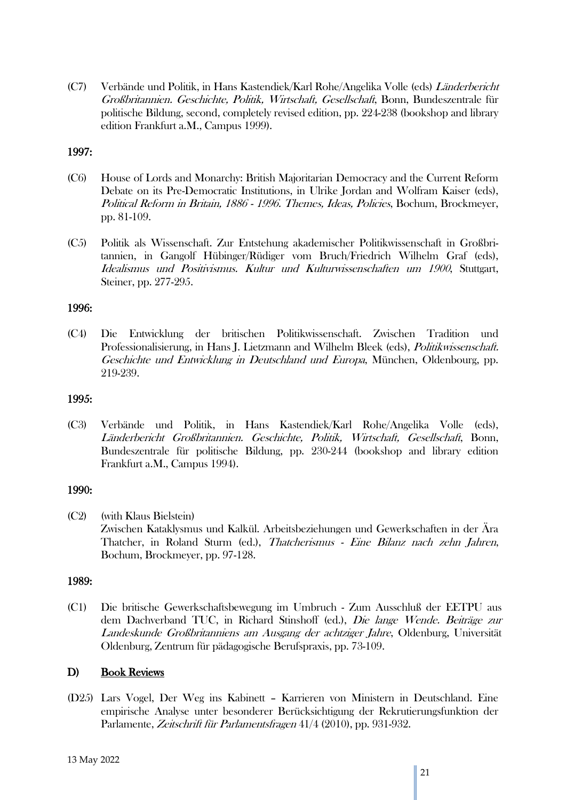(C7) Verbände und Politik, in Hans Kastendiek/Karl Rohe/Angelika Volle (eds) Länderbericht Großbritannien. Geschichte, Politik, Wirtschaft, Gesellschaft, Bonn, Bundeszentrale für politische Bildung, second, completely revised edition, pp. 224-238 (bookshop and library edition Frankfurt a.M., Campus 1999).

## 1997:

- (C6) House of Lords and Monarchy: British Majoritarian Democracy and the Current Reform Debate on its Pre-Democratic Institutions, in Ulrike Jordan and Wolfram Kaiser (eds), Political Reform in Britain, 1886 - 1996. Themes, Ideas, Policies, Bochum, Brockmeyer, pp. 81-109.
- (C5) Politik als Wissenschaft. Zur Entstehung akademischer Politikwissenschaft in Großbritannien, in Gangolf Hübinger/Rüdiger vom Bruch/Friedrich Wilhelm Graf (eds), Idealismus und Positivismus. Kultur und Kulturwissenschaften um 1900, Stuttgart, Steiner, pp. 277-295.

## 1996:

(C4) Die Entwicklung der britischen Politikwissenschaft. Zwischen Tradition und Professionalisierung, in Hans J. Lietzmann and Wilhelm Bleek (eds), Politikwissenschaft. Geschichte und Entwicklung in Deutschland und Europa, München, Oldenbourg, pp. 219-239.

## 1995:

(C3) Verbände und Politik, in Hans Kastendiek/Karl Rohe/Angelika Volle (eds), Länderbericht Großbritannien. Geschichte, Politik, Wirtschaft, Gesellschaft, Bonn, Bundeszentrale für politische Bildung, pp. 230-244 (bookshop and library edition Frankfurt a.M., Campus 1994).

## 1990:

(C2) (with Klaus Bielstein) Zwischen Kataklysmus und Kalkül. Arbeitsbeziehungen und Gewerkschaften in der Ära Thatcher, in Roland Sturm (ed.), Thatcherismus - Eine Bilanz nach zehn Jahren, Bochum, Brockmeyer, pp. 97-128.

## 1989:

(C1) Die britische Gewerkschaftsbewegung im Umbruch - Zum Ausschluß der EETPU aus dem Dachverband TUC, in Richard Stinshoff (ed.), Die lange Wende. Beiträge zur Landeskunde Großbritanniens am Ausgang der achtziger Jahre, Oldenburg, Universität Oldenburg, Zentrum für pädagogische Berufspraxis, pp. 73-109.

## D) Book Reviews

(D25) Lars Vogel, Der Weg ins Kabinett – Karrieren von Ministern in Deutschland. Eine empirische Analyse unter besonderer Berücksichtigung der Rekrutierungsfunktion der Parlamente, Zeitschrift für Parlamentsfragen 41/4 (2010), pp. 931-932.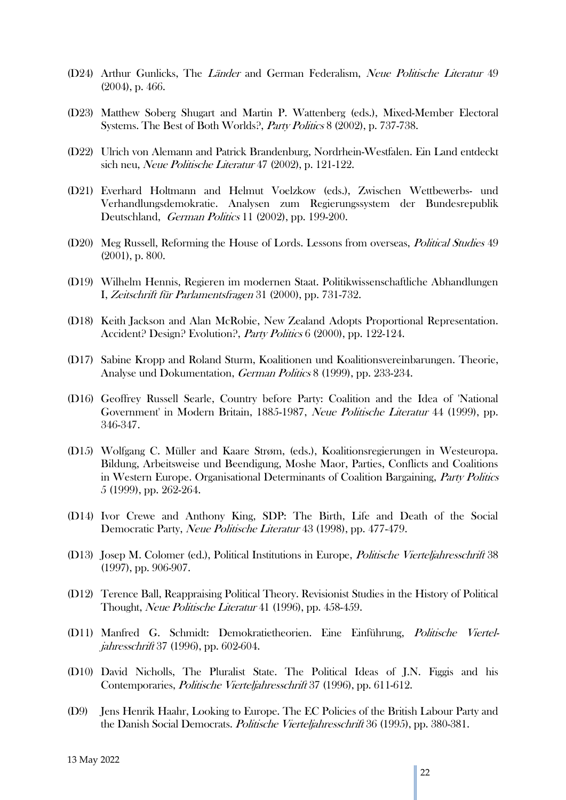- (D24) Arthur Gunlicks, The Länder and German Federalism, Neue Politische Literatur 49 (2004), p. 466.
- (D23) Matthew Soberg Shugart and Martin P. Wattenberg (eds.), Mixed-Member Electoral Systems. The Best of Both Worlds?, Party Politics 8 (2002), p. 737-738.
- (D22) Ulrich von Alemann and Patrick Brandenburg, Nordrhein-Westfalen. Ein Land entdeckt sich neu, Neue Politische Literatur 47 (2002), p. 121-122.
- (D21) Everhard Holtmann and Helmut Voelzkow (eds.), Zwischen Wettbewerbs- und Verhandlungsdemokratie. Analysen zum Regierungssystem der Bundesrepublik Deutschland, German Politics 11 (2002), pp. 199-200.
- (D20) Meg Russell, Reforming the House of Lords. Lessons from overseas, *Political Studies* 49 (2001), p. 800.
- (D19) Wilhelm Hennis, Regieren im modernen Staat. Politikwissenschaftliche Abhandlungen I, Zeitschrift für Parlamentsfragen 31 (2000), pp. 731-732.
- (D18) Keith Jackson and Alan McRobie, New Zealand Adopts Proportional Representation. Accident? Design? Evolution?, Party Politics 6 (2000), pp. 122-124.
- (D17) Sabine Kropp and Roland Sturm, Koalitionen und Koalitionsvereinbarungen. Theorie, Analyse und Dokumentation, German Politics 8 (1999), pp. 233-234.
- (D16) Geoffrey Russell Searle, Country before Party: Coalition and the Idea of 'National Government' in Modern Britain, 1885-1987, Neue Politische Literatur 44 (1999), pp. 346-347.
- (D15) Wolfgang C. Müller and Kaare Strøm, (eds.), Koalitionsregierungen in Westeuropa. Bildung, Arbeitsweise und Beendigung, Moshe Maor, Parties, Conflicts and Coalitions in Western Europe. Organisational Determinants of Coalition Bargaining, Party Politics 5 (1999), pp. 262-264.
- (D14) Ivor Crewe and Anthony King, SDP: The Birth, Life and Death of the Social Democratic Party, Neue Politische Literatur 43 (1998), pp. 477-479.
- (D13) Josep M. Colomer (ed.), Political Institutions in Europe, Politische Vierteljahresschrift 38 (1997), pp. 906-907.
- (D12) Terence Ball, Reappraising Political Theory. Revisionist Studies in the History of Political Thought, Neue Politische Literatur 41 (1996), pp. 458-459.
- (D11) Manfred G. Schmidt: Demokratietheorien. Eine Einführung, Politische Vierteljahresschrift 37 (1996), pp. 602-604.
- (D10) David Nicholls, The Pluralist State. The Political Ideas of J.N. Figgis and his Contemporaries, Politische Vierteljahresschrift 37 (1996), pp. 611-612.
- (D9) Jens Henrik Haahr, Looking to Europe. The EC Policies of the British Labour Party and the Danish Social Democrats. Politische Vierteljahresschrift 36 (1995), pp. 380-381.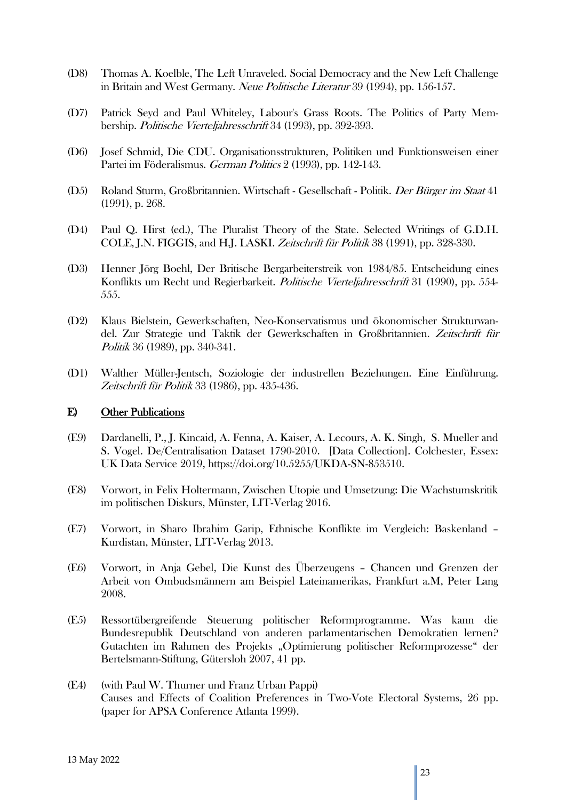- (D8) Thomas A. Koelble, The Left Unraveled. Social Democracy and the New Left Challenge in Britain and West Germany. Neue Politische Literatur 39 (1994), pp. 156-157.
- (D7) Patrick Seyd and Paul Whiteley, Labour's Grass Roots. The Politics of Party Membership. Politische Vierteljahresschrift 34 (1993), pp. 392-393.
- (D6) Josef Schmid, Die CDU. Organisationsstrukturen, Politiken und Funktionsweisen einer Partei im Föderalismus. German Politics 2 (1993), pp. 142-143.
- (D5) Roland Sturm, Großbritannien. Wirtschaft Gesellschaft Politik. Der Bürger im Staat 41 (1991), p. 268.
- (D4) Paul Q. Hirst (ed.), The Pluralist Theory of the State. Selected Writings of G.D.H. COLE, J.N. FIGGIS, and H.J. LASKI. Zeitschrift für Politik 38 (1991), pp. 328-330.
- (D3) Henner Jörg Boehl, Der Britische Bergarbeiterstreik von 1984/85. Entscheidung eines Konflikts um Recht und Regierbarkeit. Politische Vierteljahresschrift 31 (1990), pp. 554- 555.
- (D2) Klaus Bielstein, Gewerkschaften, Neo-Konservatismus und ökonomischer Strukturwandel. Zur Strategie und Taktik der Gewerkschaften in Großbritannien. Zeitschrift für Politik 36 (1989), pp. 340-341.
- (D1) Walther Müller-Jentsch, Soziologie der industrellen Beziehungen. Eine Einführung. Zeitschrift für Politik 33 (1986), pp. 435-436.

### E) Other Publications

- (E9) Dardanelli, P., J. Kincaid, A. Fenna, A. Kaiser, A. Lecours, A. K. Singh, S. Mueller and S. Vogel. De/Centralisation Dataset 1790-2010. [Data Collection]. Colchester, Essex: UK Data Service 2019, https://doi.org/10.5255/UKDA-SN-853510.
- (E8) Vorwort, in Felix Holtermann, Zwischen Utopie und Umsetzung: Die Wachstumskritik im politischen Diskurs, Münster, LIT-Verlag 2016.
- (E7) Vorwort, in Sharo Ibrahim Garip, Ethnische Konflikte im Vergleich: Baskenland Kurdistan, Münster, LIT-Verlag 2013.
- (E6) Vorwort, in Anja Gebel, Die Kunst des Überzeugens Chancen und Grenzen der Arbeit von Ombudsmännern am Beispiel Lateinamerikas, Frankfurt a.M, Peter Lang 2008.
- (E5) Ressortübergreifende Steuerung politischer Reformprogramme. Was kann die Bundesrepublik Deutschland von anderen parlamentarischen Demokratien lernen? Gutachten im Rahmen des Projekts "Optimierung politischer Reformprozesse" der Bertelsmann-Stiftung, Gütersloh 2007, 41 pp.
- (E4) (with Paul W. Thurner und Franz Urban Pappi) Causes and Effects of Coalition Preferences in Two-Vote Electoral Systems, 26 pp. (paper for APSA Conference Atlanta 1999).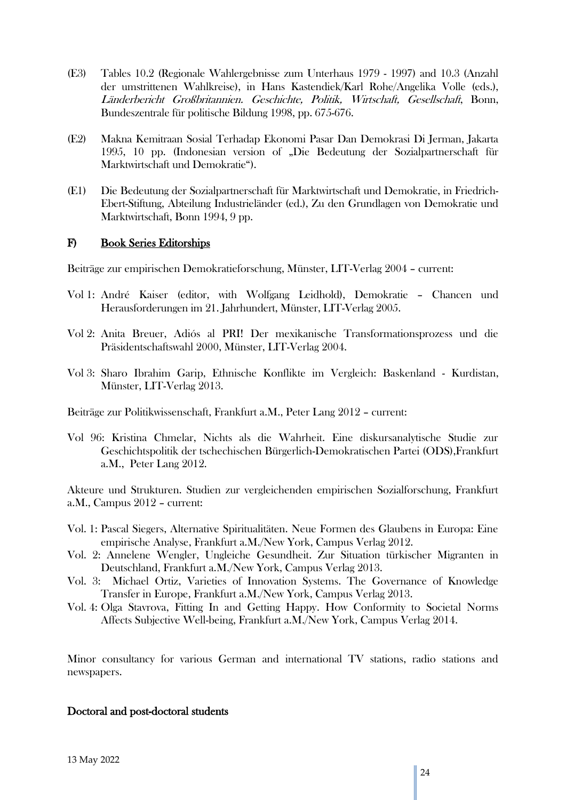- (E3) Tables 10.2 (Regionale Wahlergebnisse zum Unterhaus 1979 1997) and 10.3 (Anzahl der umstrittenen Wahlkreise), in Hans Kastendiek/Karl Rohe/Angelika Volle (eds.), Länderbericht Großbritannien. Geschichte, Politik, Wirtschaft, Gesellschaft, Bonn, Bundeszentrale für politische Bildung 1998, pp. 675-676.
- (E2) Makna Kemitraan Sosial Terhadap Ekonomi Pasar Dan Demokrasi Di Jerman, Jakarta 1995, 10 pp. (Indonesian version of "Die Bedeutung der Sozialpartnerschaft für Marktwirtschaft und Demokratie").
- (E1) Die Bedeutung der Sozialpartnerschaft für Marktwirtschaft und Demokratie, in Friedrich-Ebert-Stiftung, Abteilung Industrieländer (ed.), Zu den Grundlagen von Demokratie und Marktwirtschaft, Bonn 1994, 9 pp.

## F) Book Series Editorships

Beiträge zur empirischen Demokratieforschung, Münster, LIT-Verlag 2004 – current:

- Vol 1: André Kaiser (editor, with Wolfgang Leidhold), Demokratie Chancen und Herausforderungen im 21. Jahrhundert, Münster, LIT-Verlag 2005.
- Vol 2: Anita Breuer, Adiós al PRI! Der mexikanische Transformationsprozess und die Präsidentschaftswahl 2000, Münster, LIT-Verlag 2004.
- Vol 3: Sharo Ibrahim Garip, Ethnische Konflikte im Vergleich: Baskenland Kurdistan, Münster, LIT-Verlag 2013.

Beiträge zur Politikwissenschaft, Frankfurt a.M., Peter Lang 2012 – current:

Vol 96: Kristina Chmelar, Nichts als die Wahrheit. Eine diskursanalytische Studie zur Geschichtspolitik der tschechischen Bürgerlich-Demokratischen Partei (ODS),Frankfurt a.M., Peter Lang 2012.

Akteure und Strukturen. Studien zur vergleichenden empirischen Sozialforschung, Frankfurt a.M., Campus 2012 – current:

- Vol. 1: Pascal Siegers, Alternative Spiritualitäten. Neue Formen des Glaubens in Europa: Eine empirische Analyse, Frankfurt a.M./New York, Campus Verlag 2012.
- Vol. 2: Annelene Wengler, Ungleiche Gesundheit. Zur Situation türkischer Migranten in Deutschland, Frankfurt a.M./New York, Campus Verlag 2013.
- Vol. 3: Michael Ortiz, Varieties of Innovation Systems. The Governance of Knowledge Transfer in Europe, Frankfurt a.M./New York, Campus Verlag 2013.
- Vol. 4: Olga Stavrova, Fitting In and Getting Happy. How Conformity to Societal Norms Affects Subjective Well-being, Frankfurt a.M./New York, Campus Verlag 2014.

Minor consultancy for various German and international TV stations, radio stations and newspapers.

## Doctoral and post-doctoral students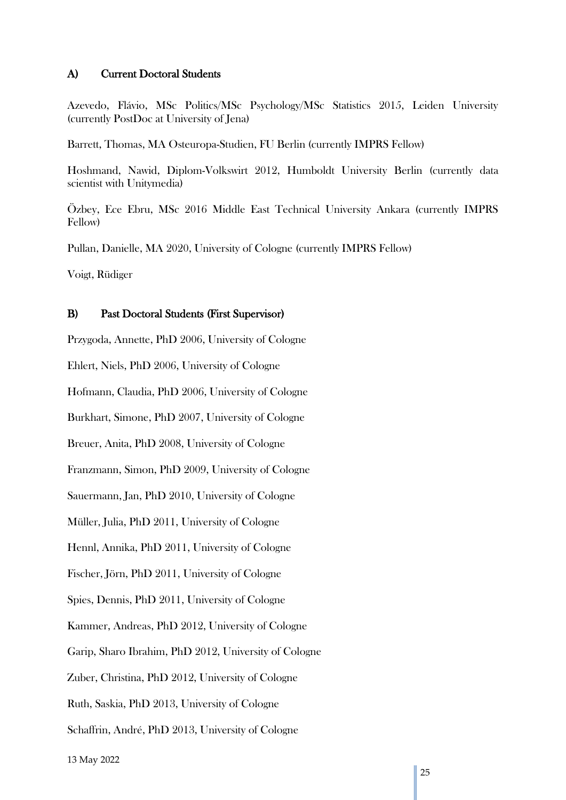## A) Current Doctoral Students

Azevedo, Flávio, MSc Politics/MSc Psychology/MSc Statistics 2015, Leiden University (currently PostDoc at University of Jena)

Barrett, Thomas, MA Osteuropa-Studien, FU Berlin (currently IMPRS Fellow)

Hoshmand, Nawid, Diplom-Volkswirt 2012, Humboldt University Berlin (currently data scientist with Unitymedia)

Özbey, Ece Ebru, MSc 2016 Middle East Technical University Ankara (currently IMPRS Fellow)

Pullan, Danielle, MA 2020, University of Cologne (currently IMPRS Fellow)

Voigt, Rüdiger

#### B) Past Doctoral Students (First Supervisor)

Przygoda, Annette, PhD 2006, University of Cologne

Ehlert, Niels, PhD 2006, University of Cologne

Hofmann, Claudia, PhD 2006, University of Cologne

Burkhart, Simone, PhD 2007, University of Cologne

Breuer, Anita, PhD 2008, University of Cologne

Franzmann, Simon, PhD 2009, University of Cologne

Sauermann, Jan, PhD 2010, University of Cologne

Müller, Julia, PhD 2011, University of Cologne

Hennl, Annika, PhD 2011, University of Cologne

Fischer, Jörn, PhD 2011, University of Cologne

Spies, Dennis, PhD 2011, University of Cologne

Kammer, Andreas, PhD 2012, University of Cologne

Garip, Sharo Ibrahim, PhD 2012, University of Cologne

Zuber, Christina, PhD 2012, University of Cologne

Ruth, Saskia, PhD 2013, University of Cologne

Schaffrin, André, PhD 2013, University of Cologne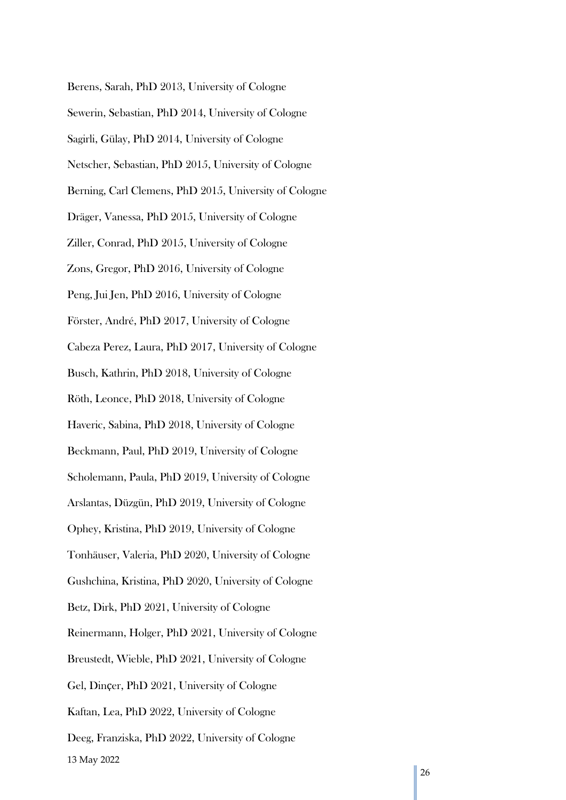Berens, Sarah, PhD 2013, University of Cologne Sewerin, Sebastian, PhD 2014, University of Cologne Sagirli, Gülay, PhD 2014, University of Cologne Netscher, Sebastian, PhD 2015, University of Cologne Berning, Carl Clemens, PhD 2015, University of Cologne Dräger, Vanessa, PhD 2015, University of Cologne Ziller, Conrad, PhD 2015, University of Cologne Zons, Gregor, PhD 2016, University of Cologne Peng, Jui Jen, PhD 2016, University of Cologne Förster, André, PhD 2017, University of Cologne Cabeza Perez, Laura, PhD 2017, University of Cologne Busch, Kathrin, PhD 2018, University of Cologne Röth, Leonce, PhD 2018, University of Cologne Haveric, Sabina, PhD 2018, University of Cologne Beckmann, Paul, PhD 2019, University of Cologne Scholemann, Paula, PhD 2019, University of Cologne Arslantas, Düzgün, PhD 2019, University of Cologne Ophey, Kristina, PhD 2019, University of Cologne Tonhäuser, Valeria, PhD 2020, University of Cologne Gushchina, Kristina, PhD 2020, University of Cologne Betz, Dirk, PhD 2021, University of Cologne Reinermann, Holger, PhD 2021, University of Cologne Breustedt, Wieble, PhD 2021, University of Cologne Gel, Dinçer, PhD 2021, University of Cologne Kaftan, Lea, PhD 2022, University of Cologne Deeg, Franziska, PhD 2022, University of Cologne

13 May 2022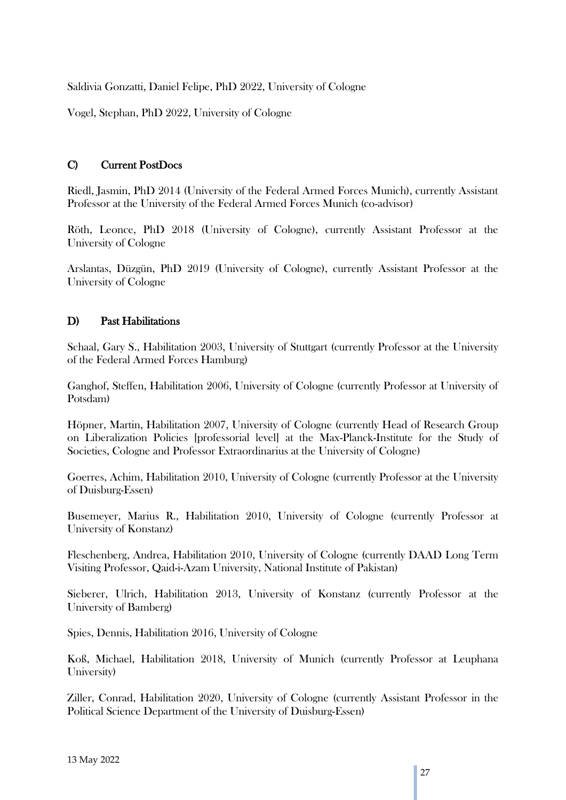Saldivia Gonzatti, Daniel Felipe, PhD 2022, University of Cologne

Vogel, Stephan, PhD 2022, University of Cologne

## C) Current PostDocs

Riedl, Jasmin, PhD 2014 (University of the Federal Armed Forces Munich), currently Assistant Professor at the University of the Federal Armed Forces Munich (co-advisor)

Röth, Leonce, PhD 2018 (University of Cologne), currently Assistant Professor at the University of Cologne

Arslantas, Düzgün, PhD 2019 (University of Cologne), currently Assistant Professor at the University of Cologne

## D) Past Habilitations

Schaal, Gary S., Habilitation 2003, University of Stuttgart (currently Professor at the University of the Federal Armed Forces Hamburg)

Ganghof, Steffen, Habilitation 2006, University of Cologne (currently Professor at University of Potsdam)

Höpner, Martin, Habilitation 2007, University of Cologne (currently Head of Research Group on Liberalization Policies [professorial level] at the Max-Planck-Institute for the Study of Societies, Cologne and Professor Extraordinarius at the University of Cologne)

Goerres, Achim, Habilitation 2010, University of Cologne (currently Professor at the University of Duisburg-Essen)

Busemeyer, Marius R., Habilitation 2010, University of Cologne (currently Professor at University of Konstanz)

Fleschenberg, Andrea, Habilitation 2010, University of Cologne (currently DAAD Long Term Visiting Professor, Qaid-i-Azam University, National Institute of Pakistan)

Sieberer, Ulrich, Habilitation 2013, University of Konstanz (currently Professor at the University of Bamberg)

Spies, Dennis, Habilitation 2016, University of Cologne

Koß, Michael, Habilitation 2018, University of Munich (currently Professor at Leuphana University)

Ziller, Conrad, Habilitation 2020, University of Cologne (currently Assistant Professor in the Political Science Department of the University of Duisburg-Essen)